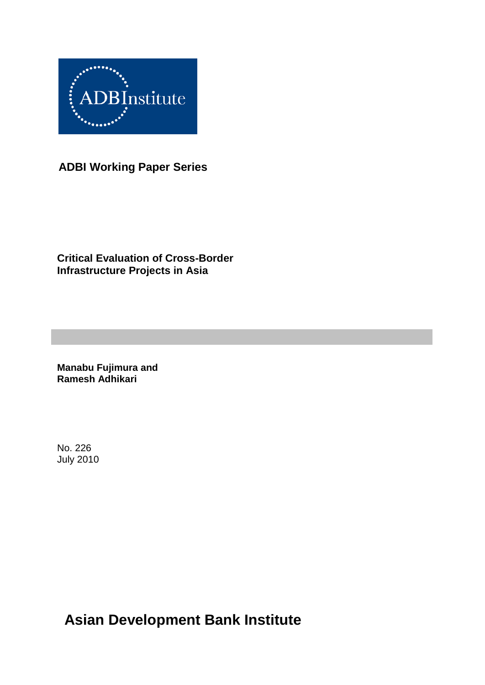

**ADBI Working Paper Series**

**Critical Evaluation of Cross-Border Infrastructure Projects in Asia**

**Manabu Fujimura and Ramesh Adhikari**

No. 226 July 2010

**Asian Development Bank Institute**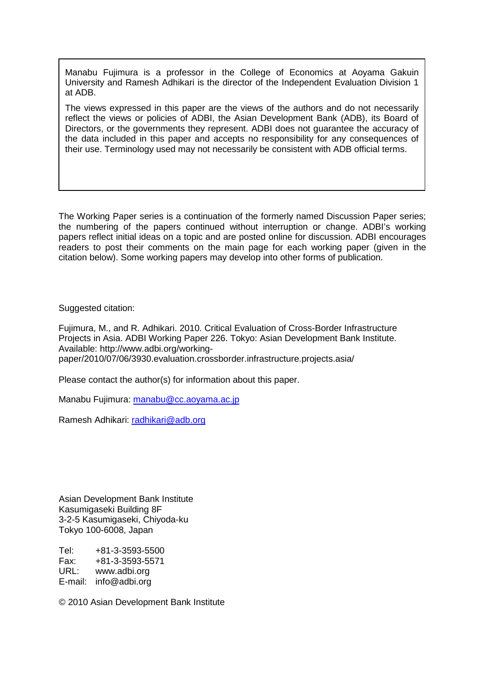Manabu Fujimura is a professor in the College of Economics at Aoyama Gakuin University and Ramesh Adhikari is the director of the Independent Evaluation Division 1 at ADB.

The views expressed in this paper are the views of the authors and do not necessarily reflect the views or policies of ADBI, the Asian Development Bank (ADB), its Board of Directors, or the governments they represent. ADBI does not guarantee the accuracy of the data included in this paper and accepts no responsibility for any consequences of their use. Terminology used may not necessarily be consistent with ADB official terms.

The Working Paper series is a continuation of the formerly named Discussion Paper series; the numbering of the papers continued without interruption or change. ADBI's working papers reflect initial ideas on a topic and are posted online for discussion. ADBI encourages readers to post their comments on the main page for each working paper (given in the citation below). Some working papers may develop into other forms of publication.

Suggested citation:

Fujimura, M., and R. Adhikari. 2010. Critical Evaluation of Cross-Border Infrastructure Projects in Asia. ADBI Working Paper 226. Tokyo: Asian Development Bank Institute. Available: http://www.adbi.org/workingpaper/2010/07/06/3930.evaluation.crossborder.infrastructure.projects.asia/

Please contact the author(s) for information about this paper.

Manabu Fujimura: [manabu@cc.aoyama.ac.jp](mailto:manabu@cc.aoyama.ac.jp)

Ramesh Adhikari: radhikari@adb.org

Asian Development Bank Institute Kasumigaseki Building 8F 3-2-5 Kasumigaseki, Chiyoda-ku Tokyo 100-6008, Japan

Tel: +81-3-3593-5500 Fax: +81-3-3593-5571 www.adbi.org E-mail: info@adbi.org

© 2010 Asian Development Bank Institute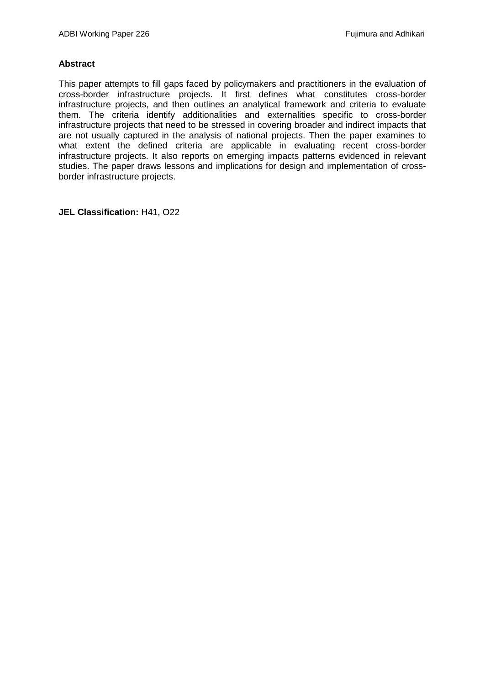#### **Abstract**

This paper attempts to fill gaps faced by policymakers and practitioners in the evaluation of cross-border infrastructure projects. It first defines what constitutes cross-border infrastructure projects, and then outlines an analytical framework and criteria to evaluate them. The criteria identify additionalities and externalities specific to cross-border infrastructure projects that need to be stressed in covering broader and indirect impacts that are not usually captured in the analysis of national projects. Then the paper examines to what extent the defined criteria are applicable in evaluating recent cross-border infrastructure projects. It also reports on emerging impacts patterns evidenced in relevant studies. The paper draws lessons and implications for design and implementation of crossborder infrastructure projects.

**JEL Classification:** H41, O22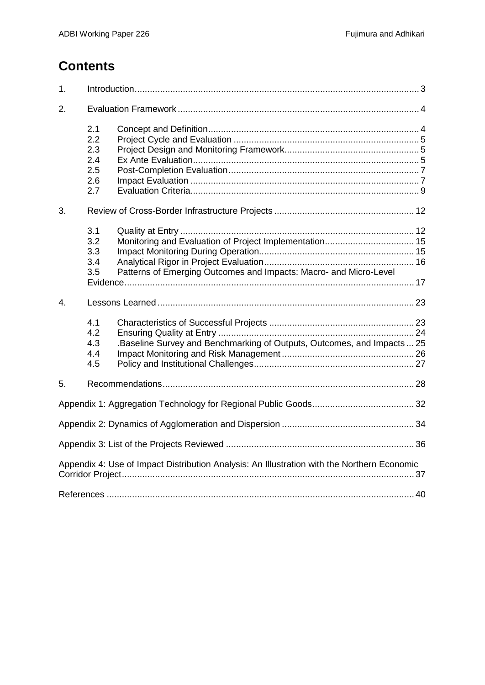# **Contents**

| 1.               |                                               |                                                                                                                             |  |
|------------------|-----------------------------------------------|-----------------------------------------------------------------------------------------------------------------------------|--|
| 2.               |                                               |                                                                                                                             |  |
|                  | 2.1<br>2.2<br>2.3<br>2.4<br>2.5<br>2.6<br>2.7 |                                                                                                                             |  |
| 3.               |                                               |                                                                                                                             |  |
|                  | 3.1<br>3.2<br>3.3<br>3.4<br>3.5               | Monitoring and Evaluation of Project Implementation 15<br>Patterns of Emerging Outcomes and Impacts: Macro- and Micro-Level |  |
|                  |                                               |                                                                                                                             |  |
| $\overline{4}$ . |                                               |                                                                                                                             |  |
|                  | 4.1<br>4.2<br>4.3<br>4.4<br>4.5               | .Baseline Survey and Benchmarking of Outputs, Outcomes, and Impacts  25                                                     |  |
| 5.               |                                               |                                                                                                                             |  |
|                  |                                               |                                                                                                                             |  |
|                  |                                               |                                                                                                                             |  |
|                  |                                               |                                                                                                                             |  |
|                  |                                               | Appendix 4: Use of Impact Distribution Analysis: An Illustration with the Northern Economic                                 |  |
|                  |                                               |                                                                                                                             |  |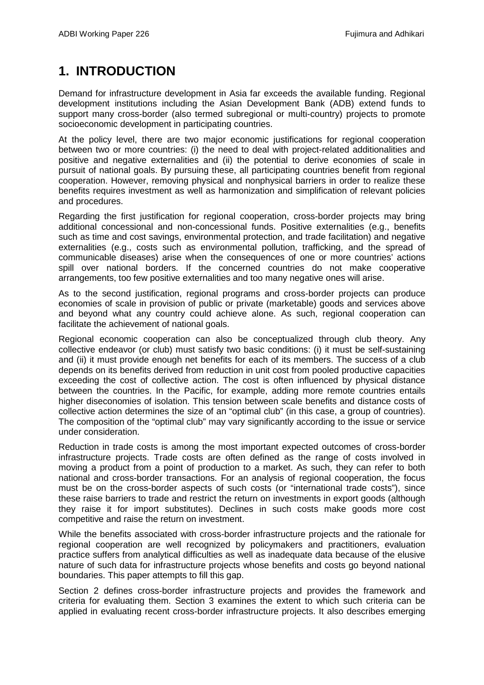# <span id="page-4-0"></span>**1. INTRODUCTION**

Demand for infrastructure development in Asia far exceeds the available funding. Regional development institutions including the Asian Development Bank (ADB) extend funds to support many cross-border (also termed subregional or multi-country) projects to promote socioeconomic development in participating countries.

At the policy level, there are two major economic justifications for regional cooperation between two or more countries: (i) the need to deal with project-related additionalities and positive and negative externalities and (ii) the potential to derive economies of scale in pursuit of national goals. By pursuing these, all participating countries benefit from regional cooperation. However, removing physical and nonphysical barriers in order to realize these benefits requires investment as well as harmonization and simplification of relevant policies and procedures.

Regarding the first justification for regional cooperation, cross-border projects may bring additional concessional and non-concessional funds. Positive externalities (e.g., benefits such as time and cost savings, environmental protection, and trade facilitation) and negative externalities (e.g., costs such as environmental pollution, trafficking, and the spread of communicable diseases) arise when the consequences of one or more countries' actions spill over national borders. If the concerned countries do not make cooperative arrangements, too few positive externalities and too many negative ones will arise.

As to the second justification, regional programs and cross-border projects can produce economies of scale in provision of public or private (marketable) goods and services above and beyond what any country could achieve alone. As such, regional cooperation can facilitate the achievement of national goals.

Regional economic cooperation can also be conceptualized through club theory. Any collective endeavor (or club) must satisfy two basic conditions: (i) it must be self-sustaining and (ii) it must provide enough net benefits for each of its members. The success of a club depends on its benefits derived from reduction in unit cost from pooled productive capacities exceeding the cost of collective action. The cost is often influenced by physical distance between the countries. In the Pacific, for example, adding more remote countries entails higher diseconomies of isolation. This tension between scale benefits and distance costs of collective action determines the size of an "optimal club" (in this case, a group of countries). The composition of the "optimal club" may vary significantly according to the issue or service under consideration.

Reduction in trade costs is among the most important expected outcomes of cross-border infrastructure projects. Trade costs are often defined as the range of costs involved in moving a product from a point of production to a market. As such, they can refer to both national and cross-border transactions. For an analysis of regional cooperation, the focus must be on the cross-border aspects of such costs (or "international trade costs"), since these raise barriers to trade and restrict the return on investments in export goods (although they raise it for import substitutes). Declines in such costs make goods more cost competitive and raise the return on investment.

While the benefits associated with cross-border infrastructure projects and the rationale for regional cooperation are well recognized by policymakers and practitioners, evaluation practice suffers from analytical difficulties as well as inadequate data because of the elusive nature of such data for infrastructure projects whose benefits and costs go beyond national boundaries. This paper attempts to fill this gap.

Section 2 defines cross-border infrastructure projects and provides the framework and criteria for evaluating them. Section 3 examines the extent to which such criteria can be applied in evaluating recent cross-border infrastructure projects. It also describes emerging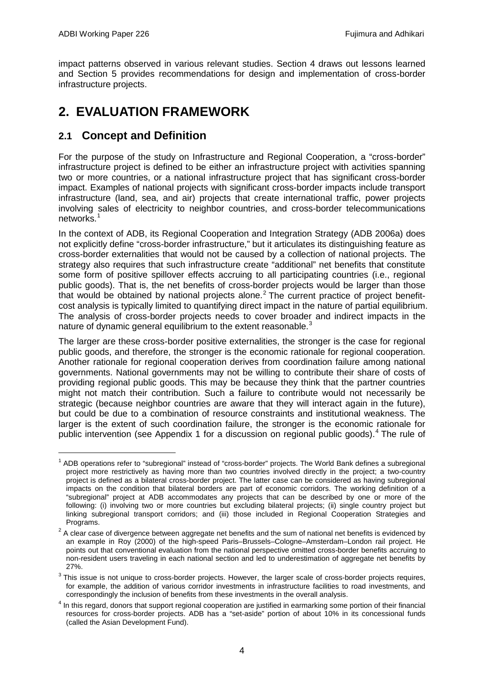impact patterns observed in various relevant studies. Section 4 draws out lessons learned and Section 5 provides recommendations for design and implementation of cross-border infrastructure projects.

# <span id="page-5-0"></span>**2. EVALUATION FRAMEWORK**

# <span id="page-5-1"></span>**2.1 Concept and Definition**

For the purpose of the study on Infrastructure and Regional Cooperation, a "cross-border" infrastructure project is defined to be either an infrastructure project with activities spanning two or more countries, or a national infrastructure project that has significant cross-border impact. Examples of national projects with significant cross-border impacts include transport infrastructure (land, sea, and air) projects that create international traffic, power projects involving sales of electricity to neighbor countries, and cross-border telecommunications networks.<sup>[1](#page-5-2)</sup>

In the context of ADB, its Regional Cooperation and Integration Strategy (ADB 2006a) does not explicitly define "cross-border infrastructure," but it articulates its distinguishing feature as cross-border externalities that would not be caused by a collection of national projects. The strategy also requires that such infrastructure create "additional" net benefits that constitute some form of positive spillover effects accruing to all participating countries (i.e., regional public goods). That is, the net benefits of cross-border projects would be larger than those that would be obtained by national projects alone.<sup>[2](#page-5-3)</sup> The current practice of project benefitcost analysis is typically limited to quantifying direct impact in the nature of partial equilibrium. The analysis of cross-border projects needs to cover broader and indirect impacts in the nature of dynamic general equilibrium to the extent reasonable.<sup>[3](#page-5-4)</sup>

The larger are these cross-border positive externalities, the stronger is the case for regional public goods, and therefore, the stronger is the economic rationale for regional cooperation. Another rationale for regional cooperation derives from coordination failure among national governments. National governments may not be willing to contribute their share of costs of providing regional public goods. This may be because they think that the partner countries might not match their contribution. Such a failure to contribute would not necessarily be strategic (because neighbor countries are aware that they will interact again in the future), but could be due to a combination of resource constraints and institutional weakness. The larger is the extent of such coordination failure, the stronger is the economic rationale for public intervention (see Appendix 1 for a discussion on regional public goods).<sup>[4](#page-5-5)</sup> The rule of

<span id="page-5-2"></span> $1$  ADB operations refer to "subregional" instead of "cross-border" projects. The World Bank defines a subregional project more restrictively as having more than two countries involved directly in the project; a two-country project is defined as a bilateral cross-border project. The latter case can be considered as having subregional impacts on the condition that bilateral borders are part of economic corridors. The working definition of a "subregional" project at ADB accommodates any projects that can be described by one or more of the following: (i) involving two or more countries but excluding bilateral projects; (ii) single country project but linking subregional transport corridors; and (iii) those included in Regional Cooperation Strategies and Programs.

<span id="page-5-3"></span><sup>&</sup>lt;sup>2</sup> A clear case of divergence between aggregate net benefits and the sum of national net benefits is evidenced by an example in Roy (2000) of the high-speed Paris–Brussels–Cologne–Amsterdam–London rail project. He points out that conventional evaluation from the national perspective omitted cross-border benefits accruing to non-resident users traveling in each national section and led to underestimation of aggregate net benefits by 27%.

<span id="page-5-4"></span><sup>&</sup>lt;sup>3</sup> This issue is not unique to cross-border projects. However, the larger scale of cross-border projects requires, for example, the addition of various corridor investments in infrastructure facilities to road investments, and correspondingly the inclusion of benefits from these investments in the overall analysis.

<span id="page-5-5"></span> $4$  In this regard, donors that support regional cooperation are justified in earmarking some portion of their financial resources for cross-border projects. ADB has a "set-aside" portion of about 10% in its concessional funds (called the Asian Development Fund).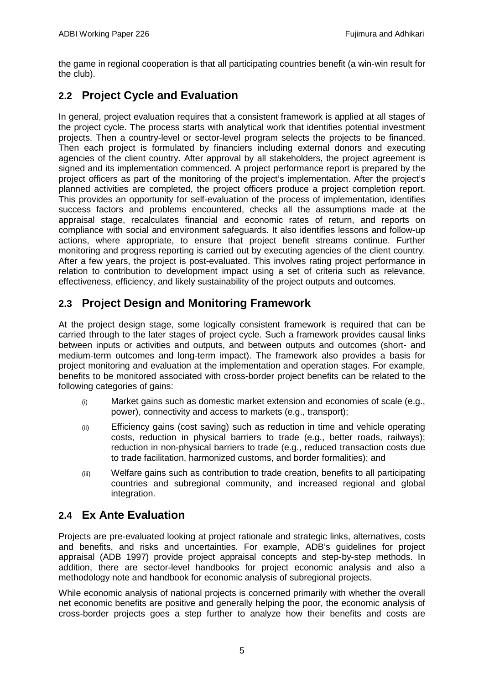the game in regional cooperation is that all participating countries benefit (a win-win result for the club).

# <span id="page-6-0"></span>**2.2 Project Cycle and Evaluation**

In general, project evaluation requires that a consistent framework is applied at all stages of the project cycle. The process starts with analytical work that identifies potential investment projects. Then a country-level or sector-level program selects the projects to be financed. Then each project is formulated by financiers including external donors and executing agencies of the client country. After approval by all stakeholders, the project agreement is signed and its implementation commenced. A project performance report is prepared by the project officers as part of the monitoring of the project's implementation. After the project's planned activities are completed, the project officers produce a project completion report. This provides an opportunity for self-evaluation of the process of implementation, identifies success factors and problems encountered, checks all the assumptions made at the appraisal stage, recalculates financial and economic rates of return, and reports on compliance with social and environment safeguards. It also identifies lessons and follow-up actions, where appropriate, to ensure that project benefit streams continue. Further monitoring and progress reporting is carried out by executing agencies of the client country. After a few years, the project is post-evaluated. This involves rating project performance in relation to contribution to development impact using a set of criteria such as relevance, effectiveness, efficiency, and likely sustainability of the project outputs and outcomes.

# <span id="page-6-1"></span>**2.3 Project Design and Monitoring Framework**

At the project design stage, some logically consistent framework is required that can be carried through to the later stages of project cycle. Such a framework provides causal links between inputs or activities and outputs, and between outputs and outcomes (short- and medium-term outcomes and long-term impact). The framework also provides a basis for project monitoring and evaluation at the implementation and operation stages. For example, benefits to be monitored associated with cross-border project benefits can be related to the following categories of gains:

- (i) Market gains such as domestic market extension and economies of scale (e.g., power), connectivity and access to markets (e.g., transport);
- (ii) Efficiency gains (cost saving) such as reduction in time and vehicle operating costs, reduction in physical barriers to trade (e.g., better roads, railways); reduction in non-physical barriers to trade (e.g., reduced transaction costs due to trade facilitation, harmonized customs, and border formalities); and
- (iii) Welfare gains such as contribution to trade creation, benefits to all participating countries and subregional community, and increased regional and global integration.

# <span id="page-6-2"></span>**2.4 Ex Ante Evaluation**

Projects are pre-evaluated looking at project rationale and strategic links, alternatives, costs and benefits, and risks and uncertainties. For example, ADB's guidelines for project appraisal (ADB 1997) provide project appraisal concepts and step-by-step methods. In addition, there are sector-level handbooks for project economic analysis and also a methodology note and handbook for economic analysis of subregional projects.

While economic analysis of national projects is concerned primarily with whether the overall net economic benefits are positive and generally helping the poor, the economic analysis of cross-border projects goes a step further to analyze how their benefits and costs are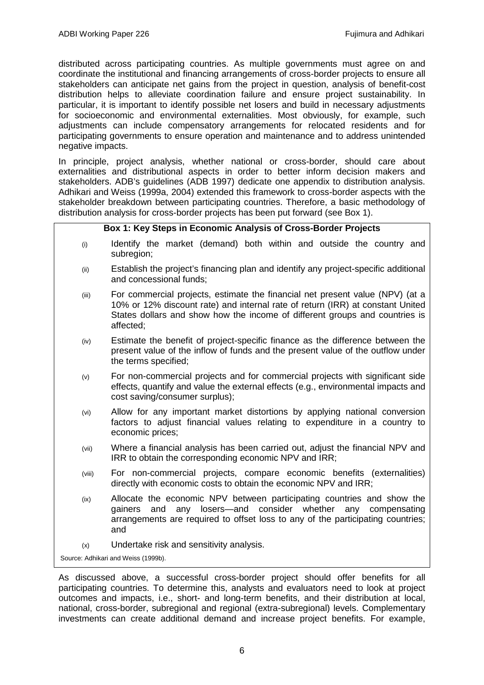distributed across participating countries. As multiple governments must agree on and coordinate the institutional and financing arrangements of cross-border projects to ensure all stakeholders can anticipate net gains from the project in question, analysis of benefit-cost distribution helps to alleviate coordination failure and ensure project sustainability. In particular, it is important to identify possible net losers and build in necessary adjustments for socioeconomic and environmental externalities. Most obviously, for example, such adjustments can include compensatory arrangements for relocated residents and for participating governments to ensure operation and maintenance and to address unintended negative impacts.

In principle, project analysis, whether national or cross-border, should care about externalities and distributional aspects in order to better inform decision makers and stakeholders. ADB's guidelines (ADB 1997) dedicate one appendix to distribution analysis. Adhikari and Weiss (1999a, 2004) extended this framework to cross-border aspects with the stakeholder breakdown between participating countries. Therefore, a basic methodology of distribution analysis for cross-border projects has been put forward (see Box 1).

#### **Box 1: Key Steps in Economic Analysis of Cross-Border Projects**

- (i) Identify the market (demand) both within and outside the country and subregion;
- (ii) Establish the project's financing plan and identify any project-specific additional and concessional funds;
- (iii) For commercial projects, estimate the financial net present value (NPV) (at a 10% or 12% discount rate) and internal rate of return (IRR) at constant United States dollars and show how the income of different groups and countries is affected;
- (iv) Estimate the benefit of project-specific finance as the difference between the present value of the inflow of funds and the present value of the outflow under the terms specified;
- (v) For non-commercial projects and for commercial projects with significant side effects, quantify and value the external effects (e.g., environmental impacts and cost saving/consumer surplus);
- (vi) Allow for any important market distortions by applying national conversion factors to adjust financial values relating to expenditure in a country to economic prices;
- (vii) Where a financial analysis has been carried out, adjust the financial NPV and IRR to obtain the corresponding economic NPV and IRR;
- (viii) For non-commercial projects, compare economic benefits (externalities) directly with economic costs to obtain the economic NPV and IRR;
- (ix) Allocate the economic NPV between participating countries and show the gainers and any losers—and consider whether any compensating arrangements are required to offset loss to any of the participating countries; and
- (x) Undertake risk and sensitivity analysis.

Source: Adhikari and Weiss (1999b).

As discussed above, a successful cross-border project should offer benefits for all participating countries. To determine this, analysts and evaluators need to look at project outcomes and impacts, i.e., short- and long-term benefits, and their distribution at local, national, cross-border, subregional and regional (extra-subregional) levels. Complementary investments can create additional demand and increase project benefits. For example,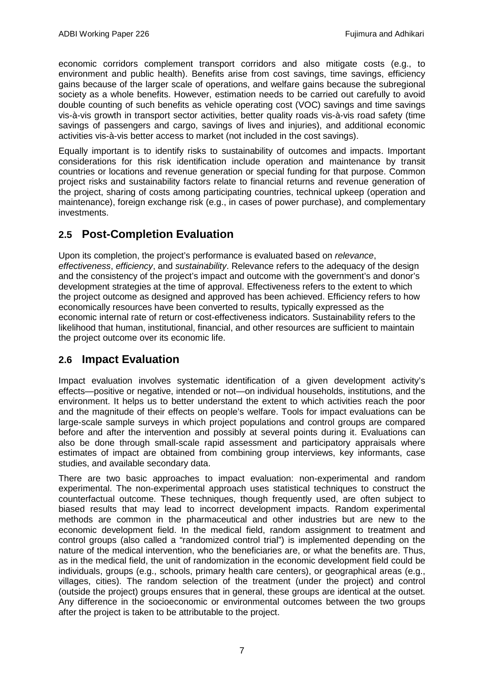economic corridors complement transport corridors and also mitigate costs (e.g., to environment and public health). Benefits arise from cost savings, time savings, efficiency gains because of the larger scale of operations, and welfare gains because the subregional society as a whole benefits. However, estimation needs to be carried out carefully to avoid double counting of such benefits as vehicle operating cost (VOC) savings and time savings vis-à-vis growth in transport sector activities, better quality roads vis-à-vis road safety (time savings of passengers and cargo, savings of lives and injuries), and additional economic activities vis-à-vis better access to market (not included in the cost savings).

Equally important is to identify risks to sustainability of outcomes and impacts. Important considerations for this risk identification include operation and maintenance by transit countries or locations and revenue generation or special funding for that purpose. Common project risks and sustainability factors relate to financial returns and revenue generation of the project, sharing of costs among participating countries, technical upkeep (operation and maintenance), foreign exchange risk (e.g., in cases of power purchase), and complementary investments.

# <span id="page-8-0"></span>**2.5 Post-Completion Evaluation**

Upon its completion, the project's performance is evaluated based on *relevance*, *effectiveness*, *efficiency*, and *sustainability*. Relevance refers to the adequacy of the design and the consistency of the project's impact and outcome with the government's and donor's development strategies at the time of approval. Effectiveness refers to the extent to which the project outcome as designed and approved has been achieved. Efficiency refers to how economically resources have been converted to results, typically expressed as the economic internal rate of return or cost-effectiveness indicators. Sustainability refers to the likelihood that human, institutional, financial, and other resources are sufficient to maintain the project outcome over its economic life.

# <span id="page-8-1"></span>**2.6 Impact Evaluation**

Impact evaluation involves systematic identification of a given development activity's effects—positive or negative, intended or not—on individual households, institutions, and the environment. It helps us to better understand the extent to which activities reach the poor and the magnitude of their effects on people's welfare. Tools for impact evaluations can be large-scale sample surveys in which project populations and control groups are compared before and after the intervention and possibly at several points during it. Evaluations can also be done through small-scale rapid assessment and participatory appraisals where estimates of impact are obtained from combining group interviews, key informants, case studies, and available secondary data.

There are two basic approaches to impact evaluation: non-experimental and random experimental. The non-experimental approach uses statistical techniques to construct the counterfactual outcome. These techniques, though frequently used, are often subject to biased results that may lead to incorrect development impacts. Random experimental methods are common in the pharmaceutical and other industries but are new to the economic development field. In the medical field, random assignment to treatment and control groups (also called a "randomized control trial") is implemented depending on the nature of the medical intervention, who the beneficiaries are, or what the benefits are. Thus, as in the medical field, the unit of randomization in the economic development field could be individuals, groups (e.g., schools, primary health care centers), or geographical areas (e.g., villages, cities). The random selection of the treatment (under the project) and control (outside the project) groups ensures that in general, these groups are identical at the outset. Any difference in the socioeconomic or environmental outcomes between the two groups after the project is taken to be attributable to the project.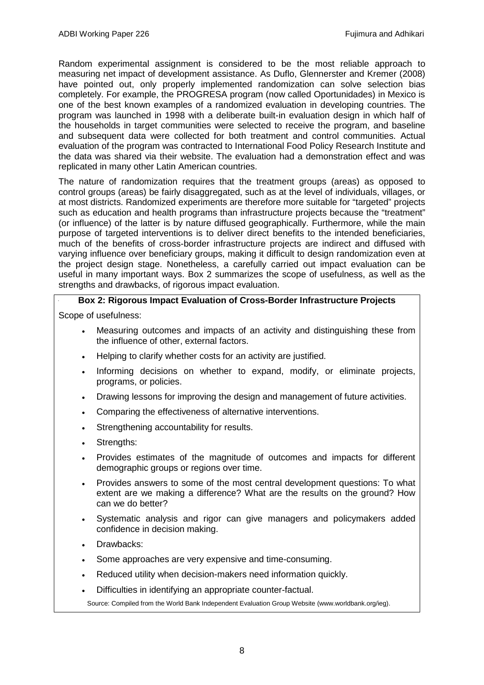Random experimental assignment is considered to be the most reliable approach to measuring net impact of development assistance. As Duflo, Glennerster and Kremer (2008) have pointed out, only properly implemented randomization can solve selection bias completely. For example, the PROGRESA program (now called Oportunidades) in Mexico is one of the best known examples of a randomized evaluation in developing countries. The program was launched in 1998 with a deliberate built-in evaluation design in which half of the households in target communities were selected to receive the program, and baseline and subsequent data were collected for both treatment and control communities. Actual evaluation of the program was contracted to International Food Policy Research Institute and the data was shared via their website. The evaluation had a demonstration effect and was replicated in many other Latin American countries.

The nature of randomization requires that the treatment groups (areas) as opposed to control groups (areas) be fairly disaggregated, such as at the level of individuals, villages, or at most districts. Randomized experiments are therefore more suitable for "targeted" projects such as education and health programs than infrastructure projects because the "treatment" (or influence) of the latter is by nature diffused geographically. Furthermore, while the main purpose of targeted interventions is to deliver direct benefits to the intended beneficiaries, much of the benefits of cross-border infrastructure projects are indirect and diffused with varying influence over beneficiary groups, making it difficult to design randomization even at the project design stage. Nonetheless, a carefully carried out impact evaluation can be useful in many important ways. Box 2 summarizes the scope of usefulness, as well as the strengths and drawbacks, of rigorous impact evaluation.

## **Box 2: Rigorous Impact Evaluation of Cross-Border Infrastructure Projects**

Scope of usefulness:

- Measuring outcomes and impacts of an activity and distinguishing these from the influence of other, external factors.
- Helping to clarify whether costs for an activity are justified.
- Informing decisions on whether to expand, modify, or eliminate projects, programs, or policies.
- Drawing lessons for improving the design and management of future activities.
- Comparing the effectiveness of alternative interventions.
- Strengthening accountability for results.
- Strengths:
- Provides estimates of the magnitude of outcomes and impacts for different demographic groups or regions over time.
- Provides answers to some of the most central development questions: To what extent are we making a difference? What are the results on the ground? How can we do better?
- Systematic analysis and rigor can give managers and policymakers added confidence in decision making.
- Drawbacks:
- Some approaches are very expensive and time-consuming.
- Reduced utility when decision-makers need information quickly.
- Difficulties in identifying an appropriate counter-factual.

Source: Compiled from the World Bank Independent Evaluation Group Website (www.worldbank.org/ieg).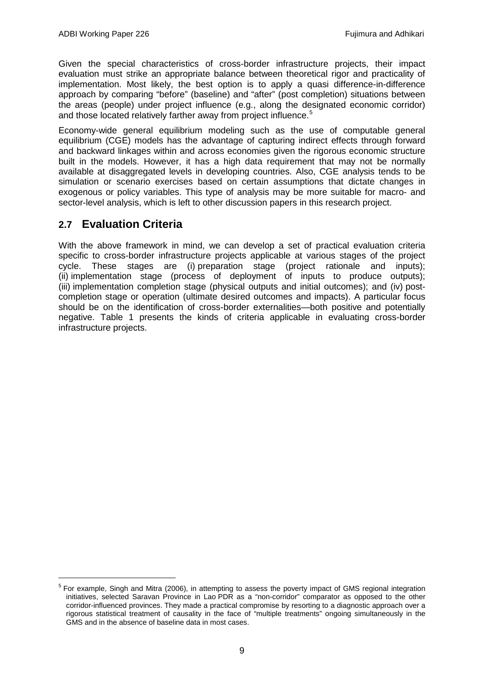Given the special characteristics of cross-border infrastructure projects, their impact evaluation must strike an appropriate balance between theoretical rigor and practicality of implementation. Most likely, the best option is to apply a quasi difference-in-difference approach by comparing "before" (baseline) and "after" (post completion) situations between the areas (people) under project influence (e.g., along the designated economic corridor) and those located relatively farther away from project influence.<sup>[5](#page-10-1)</sup>

Economy-wide general equilibrium modeling such as the use of computable general equilibrium (CGE) models has the advantage of capturing indirect effects through forward and backward linkages within and across economies given the rigorous economic structure built in the models. However, it has a high data requirement that may not be normally available at disaggregated levels in developing countries. Also, CGE analysis tends to be simulation or scenario exercises based on certain assumptions that dictate changes in exogenous or policy variables. This type of analysis may be more suitable for macro- and sector-level analysis, which is left to other discussion papers in this research project.

# <span id="page-10-0"></span>**2.7 Evaluation Criteria**

With the above framework in mind, we can develop a set of practical evaluation criteria specific to cross-border infrastructure projects applicable at various stages of the project cycle. These stages are (i) preparation stage (project rationale and inputs); (ii) implementation stage (process of deployment of inputs to produce outputs); (iii) implementation completion stage (physical outputs and initial outcomes); and (iv) postcompletion stage or operation (ultimate desired outcomes and impacts). A particular focus should be on the identification of cross-border externalities—both positive and potentially negative. Table 1 presents the kinds of criteria applicable in evaluating cross-border infrastructure projects.

<span id="page-10-1"></span><sup>&</sup>lt;sup>5</sup> For example, Singh and Mitra (2006), in attempting to assess the poverty impact of GMS regional integration initiatives, selected Saravan Province in Lao PDR as a "non-corridor" comparator as opposed to the other corridor-influenced provinces. They made a practical compromise by resorting to a diagnostic approach over a rigorous statistical treatment of causality in the face of "multiple treatments" ongoing simultaneously in the GMS and in the absence of baseline data in most cases.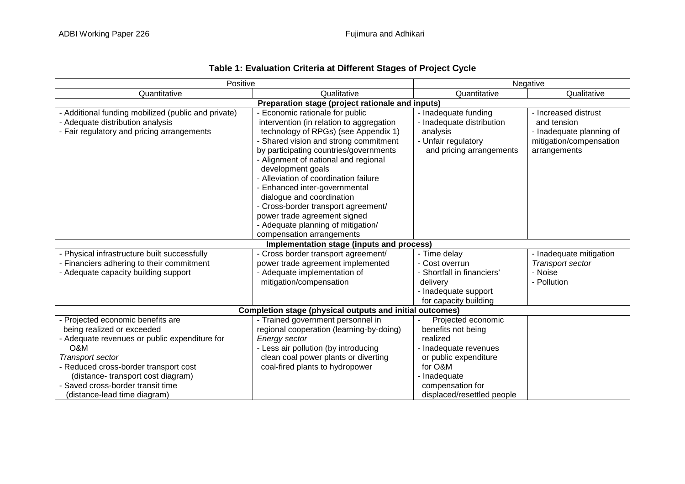| Positive                                                                                                                                                                                                                                                                                     | Negative                                                                                                                                                                                                                                                                                                                                                                                                                                                                                                         |                                                                                                                                                                                     |                                                                                                            |  |
|----------------------------------------------------------------------------------------------------------------------------------------------------------------------------------------------------------------------------------------------------------------------------------------------|------------------------------------------------------------------------------------------------------------------------------------------------------------------------------------------------------------------------------------------------------------------------------------------------------------------------------------------------------------------------------------------------------------------------------------------------------------------------------------------------------------------|-------------------------------------------------------------------------------------------------------------------------------------------------------------------------------------|------------------------------------------------------------------------------------------------------------|--|
| Quantitative                                                                                                                                                                                                                                                                                 | Qualitative                                                                                                                                                                                                                                                                                                                                                                                                                                                                                                      | Quantitative                                                                                                                                                                        | Qualitative                                                                                                |  |
|                                                                                                                                                                                                                                                                                              | Preparation stage (project rationale and inputs)                                                                                                                                                                                                                                                                                                                                                                                                                                                                 |                                                                                                                                                                                     |                                                                                                            |  |
| Additional funding mobilized (public and private)<br>Adequate distribution analysis<br>- Fair regulatory and pricing arrangements                                                                                                                                                            | Economic rationale for public<br>intervention (in relation to aggregation<br>technology of RPGs) (see Appendix 1)<br>- Shared vision and strong commitment<br>by participating countries/governments<br>- Alignment of national and regional<br>development goals<br>- Alleviation of coordination failure<br>Enhanced inter-governmental<br>dialogue and coordination<br>- Cross-border transport agreement/<br>power trade agreement signed<br>- Adequate planning of mitigation/<br>compensation arrangements | - Inadequate funding<br>- Inadequate distribution<br>analysis<br>- Unfair regulatory<br>and pricing arrangements                                                                    | - Increased distrust<br>and tension<br>- Inadequate planning of<br>mitigation/compensation<br>arrangements |  |
|                                                                                                                                                                                                                                                                                              | Implementation stage (inputs and process)                                                                                                                                                                                                                                                                                                                                                                                                                                                                        |                                                                                                                                                                                     |                                                                                                            |  |
| - Physical infrastructure built successfully<br>Financiers adhering to their commitment<br>- Adequate capacity building support                                                                                                                                                              | - Cross border transport agreement/<br>power trade agreement implemented<br>- Adequate implementation of<br>mitigation/compensation                                                                                                                                                                                                                                                                                                                                                                              | - Time delay<br>- Cost overrun<br>- Shortfall in financiers'<br>delivery<br>- Inadequate support<br>for capacity building                                                           | - Inadequate mitigation<br>Transport sector<br>- Noise<br>- Pollution                                      |  |
|                                                                                                                                                                                                                                                                                              | <b>Completion stage (physical outputs and initial outcomes)</b>                                                                                                                                                                                                                                                                                                                                                                                                                                                  |                                                                                                                                                                                     |                                                                                                            |  |
| - Projected economic benefits are<br>being realized or exceeded<br>- Adequate revenues or public expenditure for<br>O&M<br>Transport sector<br>- Reduced cross-border transport cost<br>(distance-transport cost diagram)<br>Saved cross-border transit time<br>(distance-lead time diagram) | - Trained government personnel in<br>regional cooperation (learning-by-doing)<br><b>Energy sector</b><br>- Less air pollution (by introducing<br>clean coal power plants or diverting<br>coal-fired plants to hydropower                                                                                                                                                                                                                                                                                         | Projected economic<br>benefits not being<br>realized<br>- Inadequate revenues<br>or public expenditure<br>for O&M<br>- Inadequate<br>compensation for<br>displaced/resettled people |                                                                                                            |  |

## **Table 1: Evaluation Criteria at Different Stages of Project Cycle**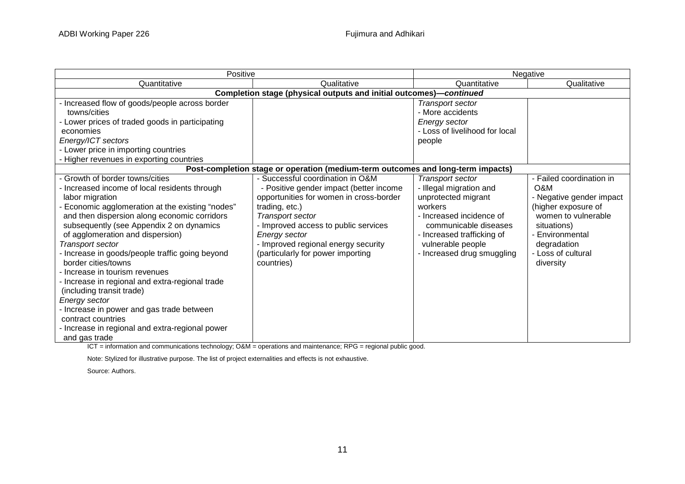| Positive                                                                                                                                                                                                                                                                                                                                                                                                                                                                                                                                                                                                                                               |                                                                                                                                                                                                                                                                                                                 | Negative                                                                                                                                                                                                                   |                                                                                                                                                                                               |  |  |  |
|--------------------------------------------------------------------------------------------------------------------------------------------------------------------------------------------------------------------------------------------------------------------------------------------------------------------------------------------------------------------------------------------------------------------------------------------------------------------------------------------------------------------------------------------------------------------------------------------------------------------------------------------------------|-----------------------------------------------------------------------------------------------------------------------------------------------------------------------------------------------------------------------------------------------------------------------------------------------------------------|----------------------------------------------------------------------------------------------------------------------------------------------------------------------------------------------------------------------------|-----------------------------------------------------------------------------------------------------------------------------------------------------------------------------------------------|--|--|--|
| Quantitative                                                                                                                                                                                                                                                                                                                                                                                                                                                                                                                                                                                                                                           | Qualitative                                                                                                                                                                                                                                                                                                     | Quantitative                                                                                                                                                                                                               | Qualitative                                                                                                                                                                                   |  |  |  |
|                                                                                                                                                                                                                                                                                                                                                                                                                                                                                                                                                                                                                                                        |                                                                                                                                                                                                                                                                                                                 | Completion stage (physical outputs and initial outcomes)-continued                                                                                                                                                         |                                                                                                                                                                                               |  |  |  |
| Increased flow of goods/people across border<br>towns/cities<br>Lower prices of traded goods in participating<br>economies<br>Energy/ICT sectors<br>Lower price in importing countries<br>Higher revenues in exporting countries                                                                                                                                                                                                                                                                                                                                                                                                                       |                                                                                                                                                                                                                                                                                                                 | Transport sector<br>- More accidents<br><b>Energy sector</b><br>- Loss of livelihood for local<br>people                                                                                                                   |                                                                                                                                                                                               |  |  |  |
|                                                                                                                                                                                                                                                                                                                                                                                                                                                                                                                                                                                                                                                        | Post-completion stage or operation (medium-term outcomes and long-term impacts)                                                                                                                                                                                                                                 |                                                                                                                                                                                                                            |                                                                                                                                                                                               |  |  |  |
| Growth of border towns/cities<br>Increased income of local residents through<br>labor migration<br>Economic agglomeration at the existing "nodes"<br>and then dispersion along economic corridors<br>subsequently (see Appendix 2 on dynamics<br>of agglomeration and dispersion)<br><b>Transport sector</b><br>Increase in goods/people traffic going beyond<br>border cities/towns<br>Increase in tourism revenues<br>Increase in regional and extra-regional trade<br>(including transit trade)<br>Energy sector<br>Increase in power and gas trade between<br>contract countries<br>Increase in regional and extra-regional power<br>and gas trade | - Successful coordination in O&M<br>- Positive gender impact (better income<br>opportunities for women in cross-border<br>trading, etc.)<br>Transport sector<br>- Improved access to public services<br>Energy sector<br>- Improved regional energy security<br>(particularly for power importing<br>countries) | <b>Transport sector</b><br>- Illegal migration and<br>unprotected migrant<br>workers<br>- Increased incidence of<br>communicable diseases<br>- Increased trafficking of<br>vulnerable people<br>- Increased drug smuggling | - Failed coordination in<br>O&M<br>- Negative gender impact<br>(higher exposure of<br>women to vulnerable<br>situations)<br>- Environmental<br>degradation<br>- Loss of cultural<br>diversity |  |  |  |

ICT = information and communications technology; O&M = operations and maintenance; RPG = regional public good.

Note: Stylized for illustrative purpose. The list of project externalities and effects is not exhaustive.

Source: Authors.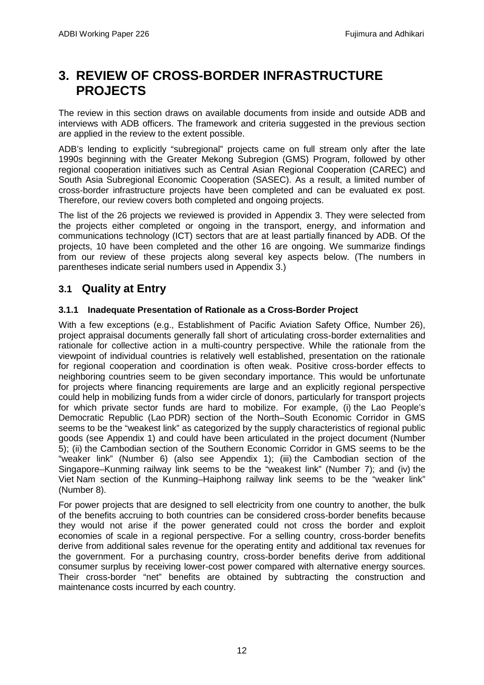# <span id="page-13-0"></span>**3. REVIEW OF CROSS-BORDER INFRASTRUCTURE PROJECTS**

The review in this section draws on available documents from inside and outside ADB and interviews with ADB officers. The framework and criteria suggested in the previous section are applied in the review to the extent possible.

ADB's lending to explicitly "subregional" projects came on full stream only after the late 1990s beginning with the Greater Mekong Subregion (GMS) Program, followed by other regional cooperation initiatives such as Central Asian Regional Cooperation (CAREC) and South Asia Subregional Economic Cooperation (SASEC). As a result, a limited number of cross-border infrastructure projects have been completed and can be evaluated ex post. Therefore, our review covers both completed and ongoing projects.

The list of the 26 projects we reviewed is provided in Appendix 3. They were selected from the projects either completed or ongoing in the transport, energy, and information and communications technology (ICT) sectors that are at least partially financed by ADB. Of the projects, 10 have been completed and the other 16 are ongoing. We summarize findings from our review of these projects along several key aspects below. (The numbers in parentheses indicate serial numbers used in Appendix 3.)

# <span id="page-13-1"></span>**3.1 Quality at Entry**

## **3.1.1 Inadequate Presentation of Rationale as a Cross-Border Project**

With a few exceptions (e.g., Establishment of Pacific Aviation Safety Office, Number 26), project appraisal documents generally fall short of articulating cross-border externalities and rationale for collective action in a multi-country perspective. While the rationale from the viewpoint of individual countries is relatively well established, presentation on the rationale for regional cooperation and coordination is often weak. Positive cross-border effects to neighboring countries seem to be given secondary importance. This would be unfortunate for projects where financing requirements are large and an explicitly regional perspective could help in mobilizing funds from a wider circle of donors, particularly for transport projects for which private sector funds are hard to mobilize. For example, (i) the Lao People's Democratic Republic (Lao PDR) section of the North–South Economic Corridor in GMS seems to be the "weakest link" as categorized by the supply characteristics of regional public goods (see Appendix 1) and could have been articulated in the project document (Number 5); (ii) the Cambodian section of the Southern Economic Corridor in GMS seems to be the "weaker link" (Number 6) (also see Appendix 1); (iii) the Cambodian section of the Singapore–Kunming railway link seems to be the "weakest link" (Number 7); and (iv) the Viet Nam section of the Kunming–Haiphong railway link seems to be the "weaker link" (Number 8).

For power projects that are designed to sell electricity from one country to another, the bulk of the benefits accruing to both countries can be considered cross-border benefits because they would not arise if the power generated could not cross the border and exploit economies of scale in a regional perspective. For a selling country, cross-border benefits derive from additional sales revenue for the operating entity and additional tax revenues for the government. For a purchasing country, cross-border benefits derive from additional consumer surplus by receiving lower-cost power compared with alternative energy sources. Their cross-border "net" benefits are obtained by subtracting the construction and maintenance costs incurred by each country.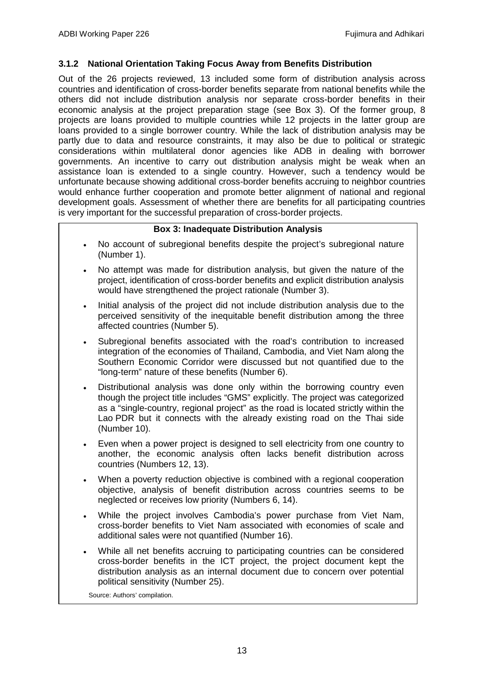#### **3.1.2 National Orientation Taking Focus Away from Benefits Distribution**

Out of the 26 projects reviewed, 13 included some form of distribution analysis across countries and identification of cross-border benefits separate from national benefits while the others did not include distribution analysis nor separate cross-border benefits in their economic analysis at the project preparation stage (see Box 3). Of the former group, 8 projects are loans provided to multiple countries while 12 projects in the latter group are loans provided to a single borrower country. While the lack of distribution analysis may be partly due to data and resource constraints, it may also be due to political or strategic considerations within multilateral donor agencies like ADB in dealing with borrower governments. An incentive to carry out distribution analysis might be weak when an assistance loan is extended to a single country. However, such a tendency would be unfortunate because showing additional cross-border benefits accruing to neighbor countries would enhance further cooperation and promote better alignment of national and regional development goals. Assessment of whether there are benefits for all participating countries is very important for the successful preparation of cross-border projects.

### **Box 3: Inadequate Distribution Analysis**

- No account of subregional benefits despite the project's subregional nature (Number 1).
- No attempt was made for distribution analysis, but given the nature of the project, identification of cross-border benefits and explicit distribution analysis would have strengthened the project rationale (Number 3).
- Initial analysis of the project did not include distribution analysis due to the perceived sensitivity of the inequitable benefit distribution among the three affected countries (Number 5).
- Subregional benefits associated with the road's contribution to increased integration of the economies of Thailand, Cambodia, and Viet Nam along the Southern Economic Corridor were discussed but not quantified due to the "long-term" nature of these benefits (Number 6).
- Distributional analysis was done only within the borrowing country even though the project title includes "GMS" explicitly. The project was categorized as a "single-country, regional project" as the road is located strictly within the Lao PDR but it connects with the already existing road on the Thai side (Number 10).
- Even when a power project is designed to sell electricity from one country to another, the economic analysis often lacks benefit distribution across countries (Numbers 12, 13).
- When a poverty reduction objective is combined with a regional cooperation objective, analysis of benefit distribution across countries seems to be neglected or receives low priority (Numbers 6, 14).
- While the project involves Cambodia's power purchase from Viet Nam, cross-border benefits to Viet Nam associated with economies of scale and additional sales were not quantified (Number 16).
- While all net benefits accruing to participating countries can be considered cross-border benefits in the ICT project, the project document kept the distribution analysis as an internal document due to concern over potential political sensitivity (Number 25).

Source: Authors' compilation.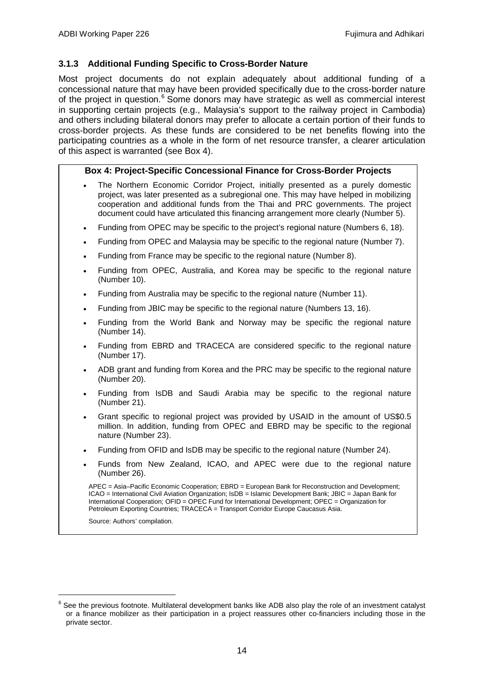#### **3.1.3 Additional Funding Specific to Cross-Border Nature**

Most project documents do not explain adequately about additional funding of a concessional nature that may have been provided specifically due to the cross-border nature of the project in question.<sup>[6](#page-15-0)</sup> Some donors may have strategic as well as commercial interest in supporting certain projects (e.g., Malaysia's support to the railway project in Cambodia) and others including bilateral donors may prefer to allocate a certain portion of their funds to cross-border projects. As these funds are considered to be net benefits flowing into the participating countries as a whole in the form of net resource transfer, a clearer articulation of this aspect is warranted (see Box 4).

#### **Box 4: Project-Specific Concessional Finance for Cross-Border Projects**

- The Northern Economic Corridor Project, initially presented as a purely domestic project, was later presented as a subregional one. This may have helped in mobilizing cooperation and additional funds from the Thai and PRC governments. The project document could have articulated this financing arrangement more clearly (Number 5).
- Funding from OPEC may be specific to the project's regional nature (Numbers 6, 18).
- Funding from OPEC and Malaysia may be specific to the regional nature (Number 7).
- Funding from France may be specific to the regional nature (Number 8).
- Funding from OPEC, Australia, and Korea may be specific to the regional nature (Number 10).
- Funding from Australia may be specific to the regional nature (Number 11).
- Funding from JBIC may be specific to the regional nature (Numbers 13, 16).
- Funding from the World Bank and Norway may be specific the regional nature (Number 14).
- Funding from EBRD and TRACECA are considered specific to the regional nature (Number 17).
- ADB grant and funding from Korea and the PRC may be specific to the regional nature (Number 20).
- Funding from IsDB and Saudi Arabia may be specific to the regional nature (Number 21).
- Grant specific to regional project was provided by USAID in the amount of US\$0.5 million. In addition, funding from OPEC and EBRD may be specific to the regional nature (Number 23).
- Funding from OFID and IsDB may be specific to the regional nature (Number 24).
- Funds from New Zealand, ICAO, and APEC were due to the regional nature (Number 26).

APEC = Asia–Pacific Economic Cooperation; EBRD = European Bank for Reconstruction and Development; ICAO = International Civil Aviation Organization; IsDB = Islamic Development Bank; JBIC = Japan Bank for International Cooperation; OFID = OPEC Fund for International Development; OPEC = Organization for Petroleum Exporting Countries; TRACECA = Transport Corridor Europe Caucasus Asia.

Source: Authors' compilation.

<span id="page-15-0"></span> $6$  See the previous footnote. Multilateral development banks like ADB also play the role of an investment catalyst or a finance mobilizer as their participation in a project reassures other co-financiers including those in the private sector.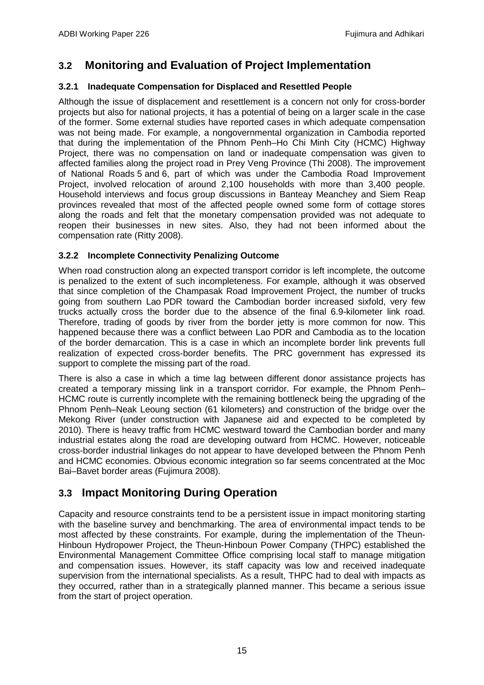# <span id="page-16-0"></span>**3.2 Monitoring and Evaluation of Project Implementation**

## **3.2.1 Inadequate Compensation for Displaced and Resettled People**

Although the issue of displacement and resettlement is a concern not only for cross-border projects but also for national projects, it has a potential of being on a larger scale in the case of the former. Some external studies have reported cases in which adequate compensation was not being made. For example, a nongovernmental organization in Cambodia reported that during the implementation of the Phnom Penh–Ho Chi Minh City (HCMC) Highway Project, there was no compensation on land or inadequate compensation was given to affected families along the project road in Prey Veng Province (Thi 2008). The improvement of National Roads 5 and 6, part of which was under the Cambodia Road Improvement Project, involved relocation of around 2,100 households with more than 3,400 people. Household interviews and focus group discussions in Banteay Meanchey and Siem Reap provinces revealed that most of the affected people owned some form of cottage stores along the roads and felt that the monetary compensation provided was not adequate to reopen their businesses in new sites. Also, they had not been informed about the compensation rate (Ritty 2008).

## **3.2.2 Incomplete Connectivity Penalizing Outcome**

When road construction along an expected transport corridor is left incomplete, the outcome is penalized to the extent of such incompleteness. For example, although it was observed that since completion of the Champasak Road Improvement Project, the number of trucks going from southern Lao PDR toward the Cambodian border increased sixfold, very few trucks actually cross the border due to the absence of the final 6.9-kilometer link road. Therefore, trading of goods by river from the border jetty is more common for now. This happened because there was a conflict between Lao PDR and Cambodia as to the location of the border demarcation. This is a case in which an incomplete border link prevents full realization of expected cross-border benefits. The PRC government has expressed its support to complete the missing part of the road.

There is also a case in which a time lag between different donor assistance projects has created a temporary missing link in a transport corridor. For example, the Phnom Penh– HCMC route is currently incomplete with the remaining bottleneck being the upgrading of the Phnom Penh–Neak Leoung section (61 kilometers) and construction of the bridge over the Mekong River (under construction with Japanese aid and expected to be completed by 2010). There is heavy traffic from HCMC westward toward the Cambodian border and many industrial estates along the road are developing outward from HCMC. However, noticeable cross-border industrial linkages do not appear to have developed between the Phnom Penh and HCMC economies. Obvious economic integration so far seems concentrated at the Moc Bai–Bavet border areas (Fujimura 2008).

# <span id="page-16-1"></span>**3.3 Impact Monitoring During Operation**

Capacity and resource constraints tend to be a persistent issue in impact monitoring starting with the baseline survey and benchmarking. The area of environmental impact tends to be most affected by these constraints. For example, during the implementation of the Theun-Hinboun Hydropower Project, the Theun-Hinboun Power Company (THPC) established the Environmental Management Committee Office comprising local staff to manage mitigation and compensation issues. However, its staff capacity was low and received inadequate supervision from the international specialists. As a result, THPC had to deal with impacts as they occurred, rather than in a strategically planned manner. This became a serious issue from the start of project operation.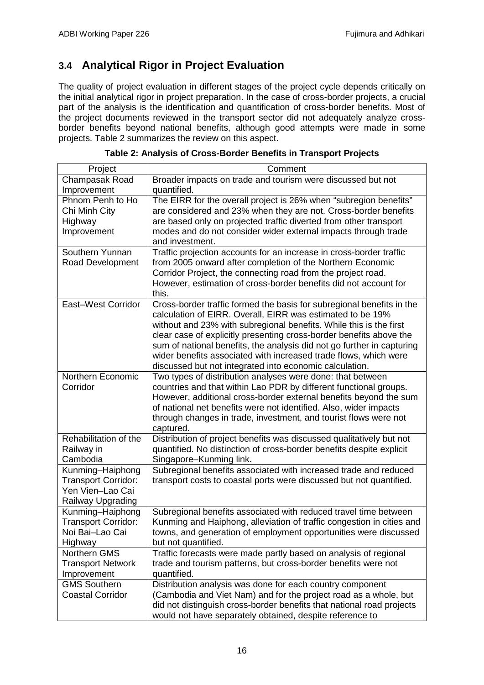# <span id="page-17-0"></span>**3.4 Analytical Rigor in Project Evaluation**

The quality of project evaluation in different stages of the project cycle depends critically on the initial analytical rigor in project preparation. In the case of cross-border projects, a crucial part of the analysis is the identification and quantification of cross-border benefits. Most of the project documents reviewed in the transport sector did not adequately analyze crossborder benefits beyond national benefits, although good attempts were made in some projects. Table 2 summarizes the review on this aspect.

| Project                    | Comment                                                                |
|----------------------------|------------------------------------------------------------------------|
| Champasak Road             | Broader impacts on trade and tourism were discussed but not            |
| Improvement                | quantified.                                                            |
| Phnom Penh to Ho           | The EIRR for the overall project is 26% when "subregion benefits"      |
| Chi Minh City              | are considered and 23% when they are not. Cross-border benefits        |
| Highway                    | are based only on projected traffic diverted from other transport      |
| Improvement                | modes and do not consider wider external impacts through trade         |
|                            | and investment.                                                        |
| Southern Yunnan            | Traffic projection accounts for an increase in cross-border traffic    |
| Road Development           | from 2005 onward after completion of the Northern Economic             |
|                            | Corridor Project, the connecting road from the project road.           |
|                            | However, estimation of cross-border benefits did not account for       |
|                            | this.                                                                  |
| East-West Corridor         | Cross-border traffic formed the basis for subregional benefits in the  |
|                            | calculation of EIRR. Overall, EIRR was estimated to be 19%             |
|                            | without and 23% with subregional benefits. While this is the first     |
|                            | clear case of explicitly presenting cross-border benefits above the    |
|                            | sum of national benefits, the analysis did not go further in capturing |
|                            | wider benefits associated with increased trade flows, which were       |
|                            | discussed but not integrated into economic calculation.                |
| Northern Economic          | Two types of distribution analyses were done: that between             |
| Corridor                   | countries and that within Lao PDR by different functional groups.      |
|                            | However, additional cross-border external benefits beyond the sum      |
|                            | of national net benefits were not identified. Also, wider impacts      |
|                            | through changes in trade, investment, and tourist flows were not       |
|                            | captured.                                                              |
| Rehabilitation of the      | Distribution of project benefits was discussed qualitatively but not   |
| Railway in                 | quantified. No distinction of cross-border benefits despite explicit   |
| Cambodia                   | Singapore-Kunming link.                                                |
| Kunming-Haiphong           | Subregional benefits associated with increased trade and reduced       |
| <b>Transport Corridor:</b> | transport costs to coastal ports were discussed but not quantified.    |
| Yen Vien-Lao Cai           |                                                                        |
| Railway Upgrading          |                                                                        |
| Kunming-Haiphong           | Subregional benefits associated with reduced travel time between       |
| <b>Transport Corridor:</b> | Kunming and Haiphong, alleviation of traffic congestion in cities and  |
| Noi Bai-Lao Cai            | towns, and generation of employment opportunities were discussed       |
| Highway                    | but not quantified.                                                    |
| Northern GMS               | Traffic forecasts were made partly based on analysis of regional       |
| <b>Transport Network</b>   | trade and tourism patterns, but cross-border benefits were not         |
| Improvement                | quantified.                                                            |
| <b>GMS Southern</b>        | Distribution analysis was done for each country component              |
| <b>Coastal Corridor</b>    | (Cambodia and Viet Nam) and for the project road as a whole, but       |
|                            | did not distinguish cross-border benefits that national road projects  |
|                            | would not have separately obtained, despite reference to               |

| Table 2: Analysis of Cross-Border Benefits in Transport Projects |  |
|------------------------------------------------------------------|--|
|------------------------------------------------------------------|--|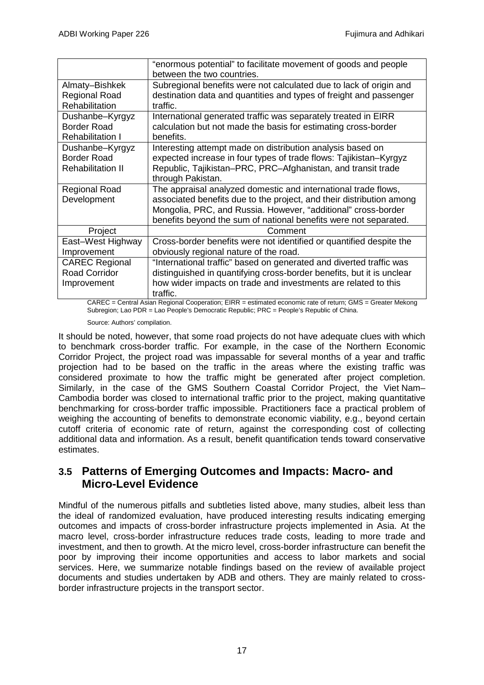|                          | "enormous potential" to facilitate movement of goods and people       |
|--------------------------|-----------------------------------------------------------------------|
|                          | between the two countries.                                            |
| Almaty-Bishkek           | Subregional benefits were not calculated due to lack of origin and    |
| <b>Regional Road</b>     | destination data and quantities and types of freight and passenger    |
| Rehabilitation           | traffic.                                                              |
| Dushanbe-Kyrgyz          | International generated traffic was separately treated in EIRR        |
| <b>Border Road</b>       | calculation but not made the basis for estimating cross-border        |
| <b>Rehabilitation I</b>  | benefits.                                                             |
| Dushanbe-Kyrgyz          | Interesting attempt made on distribution analysis based on            |
| <b>Border Road</b>       | expected increase in four types of trade flows: Tajikistan-Kyrgyz     |
| <b>Rehabilitation II</b> | Republic, Tajikistan–PRC, PRC–Afghanistan, and transit trade          |
|                          | through Pakistan.                                                     |
| <b>Regional Road</b>     | The appraisal analyzed domestic and international trade flows,        |
| Development              | associated benefits due to the project, and their distribution among  |
|                          | Mongolia, PRC, and Russia. However, "additional" cross-border         |
|                          | benefits beyond the sum of national benefits were not separated.      |
| Project                  | Comment                                                               |
| East-West Highway        | Cross-border benefits were not identified or quantified despite the   |
| Improvement              | obviously regional nature of the road.                                |
| <b>CAREC Regional</b>    | "International traffic" based on generated and diverted traffic was   |
| <b>Road Corridor</b>     | distinguished in quantifying cross-border benefits, but it is unclear |
| Improvement              | how wider impacts on trade and investments are related to this        |
|                          | traffic.                                                              |
|                          |                                                                       |

CAREC = Central Asian Regional Cooperation; EIRR = estimated economic rate of return; GMS = Greater Mekong Subregion; Lao PDR = Lao People's Democratic Republic; PRC = People's Republic of China.

Source: Authors' compilation.

It should be noted, however, that some road projects do not have adequate clues with which to benchmark cross-border traffic. For example, in the case of the Northern Economic Corridor Project, the project road was impassable for several months of a year and traffic projection had to be based on the traffic in the areas where the existing traffic was considered proximate to how the traffic might be generated after project completion. Similarly, in the case of the GMS Southern Coastal Corridor Project, the Viet Nam– Cambodia border was closed to international traffic prior to the project, making quantitative benchmarking for cross-border traffic impossible. Practitioners face a practical problem of weighing the accounting of benefits to demonstrate economic viability, e.g., beyond certain cutoff criteria of economic rate of return, against the corresponding cost of collecting additional data and information. As a result, benefit quantification tends toward conservative estimates.

## <span id="page-18-0"></span>**3.5 Patterns of Emerging Outcomes and Impacts: Macro- and Micro-Level Evidence**

Mindful of the numerous pitfalls and subtleties listed above, many studies, albeit less than the ideal of randomized evaluation, have produced interesting results indicating emerging outcomes and impacts of cross-border infrastructure projects implemented in Asia. At the macro level, cross-border infrastructure reduces trade costs, leading to more trade and investment, and then to growth. At the micro level, cross-border infrastructure can benefit the poor by improving their income opportunities and access to labor markets and social services. Here, we summarize notable findings based on the review of available project documents and studies undertaken by ADB and others. They are mainly related to crossborder infrastructure projects in the transport sector.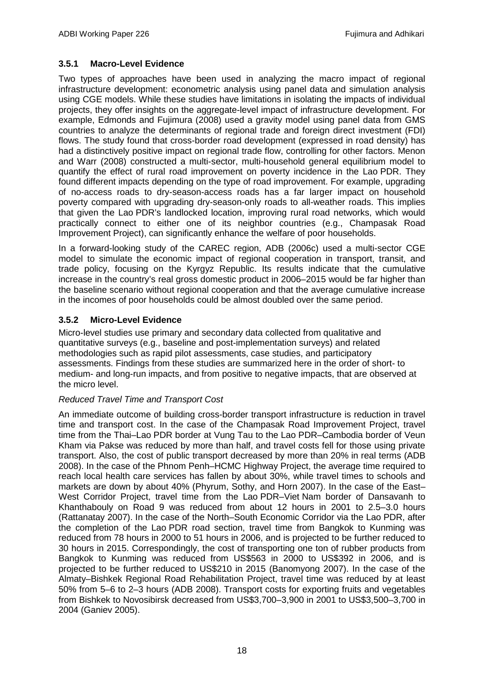## **3.5.1 Macro-Level Evidence**

Two types of approaches have been used in analyzing the macro impact of regional infrastructure development: econometric analysis using panel data and simulation analysis using CGE models. While these studies have limitations in isolating the impacts of individual projects, they offer insights on the aggregate-level impact of infrastructure development. For example, Edmonds and Fujimura (2008) used a gravity model using panel data from GMS countries to analyze the determinants of regional trade and foreign direct investment (FDI) flows. The study found that cross-border road development (expressed in road density) has had a distinctively positive impact on regional trade flow, controlling for other factors. Menon and Warr (2008) constructed a multi-sector, multi-household general equilibrium model to quantify the effect of rural road improvement on poverty incidence in the Lao PDR. They found different impacts depending on the type of road improvement. For example, upgrading of no-access roads to dry-season-access roads has a far larger impact on household poverty compared with upgrading dry-season-only roads to all-weather roads. This implies that given the Lao PDR's landlocked location, improving rural road networks, which would practically connect to either one of its neighbor countries (e.g., Champasak Road Improvement Project), can significantly enhance the welfare of poor households.

In a forward-looking study of the CAREC region, ADB (2006c) used a multi-sector CGE model to simulate the economic impact of regional cooperation in transport, transit, and trade policy, focusing on the Kyrgyz Republic. Its results indicate that the cumulative increase in the country's real gross domestic product in 2006–2015 would be far higher than the baseline scenario without regional cooperation and that the average cumulative increase in the incomes of poor households could be almost doubled over the same period.

## **3.5.2 Micro-Level Evidence**

Micro-level studies use primary and secondary data collected from qualitative and quantitative surveys (e.g., baseline and post-implementation surveys) and related methodologies such as rapid pilot assessments, case studies, and participatory assessments. Findings from these studies are summarized here in the order of short- to medium- and long-run impacts, and from positive to negative impacts, that are observed at the micro level.

## *Reduced Travel Time and Transport Cost*

An immediate outcome of building cross-border transport infrastructure is reduction in travel time and transport cost. In the case of the Champasak Road Improvement Project, travel time from the Thai–Lao PDR border at Vung Tau to the Lao PDR–Cambodia border of Veun Kham via Pakse was reduced by more than half, and travel costs fell for those using private transport. Also, the cost of public transport decreased by more than 20% in real terms (ADB 2008). In the case of the Phnom Penh–HCMC Highway Project, the average time required to reach local health care services has fallen by about 30%, while travel times to schools and markets are down by about 40% (Phyrum, Sothy, and Horn 2007). In the case of the East– West Corridor Project, travel time from the Lao PDR–Viet Nam border of Dansavanh to Khanthabouly on Road 9 was reduced from about 12 hours in 2001 to 2.5–3.0 hours (Rattanatay 2007). In the case of the North–South Economic Corridor via the Lao PDR, after the completion of the Lao PDR road section, travel time from Bangkok to Kunming was reduced from 78 hours in 2000 to 51 hours in 2006, and is projected to be further reduced to 30 hours in 2015. Correspondingly, the cost of transporting one ton of rubber products from Bangkok to Kunming was reduced from US\$563 in 2000 to US\$392 in 2006, and is projected to be further reduced to US\$210 in 2015 (Banomyong 2007). In the case of the Almaty–Bishkek Regional Road Rehabilitation Project, travel time was reduced by at least 50% from 5–6 to 2–3 hours (ADB 2008). Transport costs for exporting fruits and vegetables from Bishkek to Novosibirsk decreased from US\$3,700–3,900 in 2001 to US\$3,500–3,700 in 2004 (Ganiev 2005).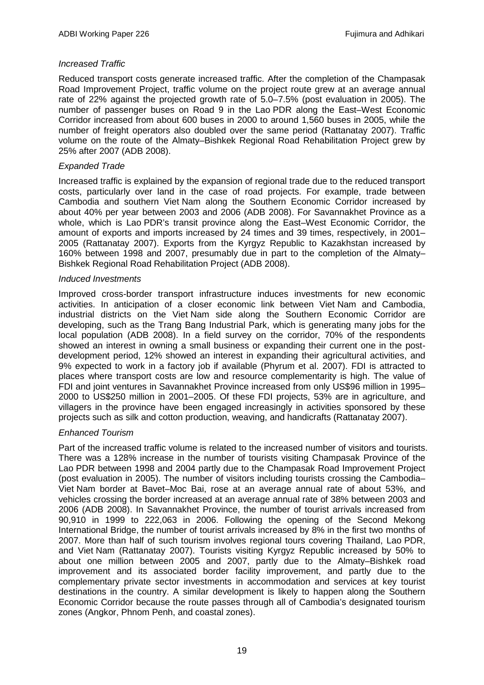#### *Increased Traffic*

Reduced transport costs generate increased traffic. After the completion of the Champasak Road Improvement Project, traffic volume on the project route grew at an average annual rate of 22% against the projected growth rate of 5.0–7.5% (post evaluation in 2005). The number of passenger buses on Road 9 in the Lao PDR along the East–West Economic Corridor increased from about 600 buses in 2000 to around 1,560 buses in 2005, while the number of freight operators also doubled over the same period (Rattanatay 2007). Traffic volume on the route of the Almaty–Bishkek Regional Road Rehabilitation Project grew by 25% after 2007 (ADB 2008).

#### *Expanded Trade*

Increased traffic is explained by the expansion of regional trade due to the reduced transport costs, particularly over land in the case of road projects. For example, trade between Cambodia and southern Viet Nam along the Southern Economic Corridor increased by about 40% per year between 2003 and 2006 (ADB 2008). For Savannakhet Province as a whole, which is Lao PDR's transit province along the East–West Economic Corridor, the amount of exports and imports increased by 24 times and 39 times, respectively, in 2001– 2005 (Rattanatay 2007). Exports from the Kyrgyz Republic to Kazakhstan increased by 160% between 1998 and 2007, presumably due in part to the completion of the Almaty– Bishkek Regional Road Rehabilitation Project (ADB 2008).

#### *Induced Investments*

Improved cross-border transport infrastructure induces investments for new economic activities. In anticipation of a closer economic link between Viet Nam and Cambodia, industrial districts on the Viet Nam side along the Southern Economic Corridor are developing, such as the Trang Bang Industrial Park, which is generating many jobs for the local population (ADB 2008). In a field survey on the corridor, 70% of the respondents showed an interest in owning a small business or expanding their current one in the postdevelopment period, 12% showed an interest in expanding their agricultural activities, and 9% expected to work in a factory job if available (Phyrum et al. 2007). FDI is attracted to places where transport costs are low and resource complementarity is high. The value of FDI and joint ventures in Savannakhet Province increased from only US\$96 million in 1995– 2000 to US\$250 million in 2001–2005. Of these FDI projects, 53% are in agriculture, and villagers in the province have been engaged increasingly in activities sponsored by these projects such as silk and cotton production, weaving, and handicrafts (Rattanatay 2007).

#### *Enhanced Tourism*

Part of the increased traffic volume is related to the increased number of visitors and tourists. There was a 128% increase in the number of tourists visiting Champasak Province of the Lao PDR between 1998 and 2004 partly due to the Champasak Road Improvement Project (post evaluation in 2005). The number of visitors including tourists crossing the Cambodia– Viet Nam border at Bavet–Moc Bai, rose at an average annual rate of about 53%, and vehicles crossing the border increased at an average annual rate of 38% between 2003 and 2006 (ADB 2008). In Savannakhet Province, the number of tourist arrivals increased from 90,910 in 1999 to 222,063 in 2006. Following the opening of the Second Mekong International Bridge, the number of tourist arrivals increased by 8% in the first two months of 2007. More than half of such tourism involves regional tours covering Thailand, Lao PDR, and Viet Nam (Rattanatay 2007). Tourists visiting Kyrgyz Republic increased by 50% to about one million between 2005 and 2007, partly due to the Almaty–Bishkek road improvement and its associated border facility improvement, and partly due to the complementary private sector investments in accommodation and services at key tourist destinations in the country. A similar development is likely to happen along the Southern Economic Corridor because the route passes through all of Cambodia's designated tourism zones (Angkor, Phnom Penh, and coastal zones).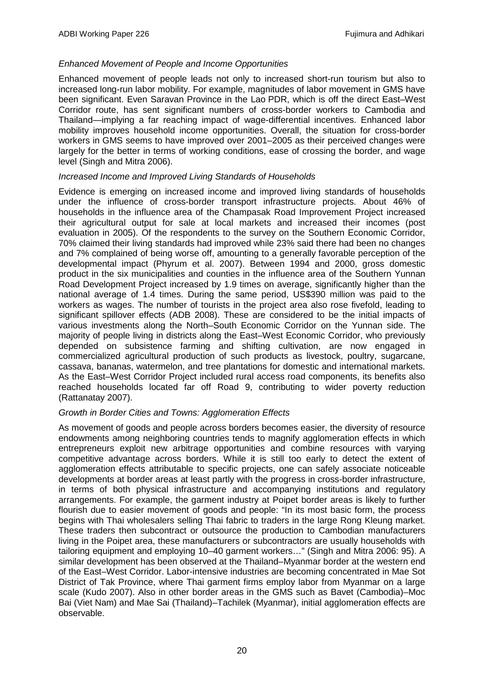#### *Enhanced Movement of People and Income Opportunities*

Enhanced movement of people leads not only to increased short-run tourism but also to increased long-run labor mobility. For example, magnitudes of labor movement in GMS have been significant. Even Saravan Province in the Lao PDR, which is off the direct East–West Corridor route, has sent significant numbers of cross-border workers to Cambodia and Thailand—implying a far reaching impact of wage-differential incentives. Enhanced labor mobility improves household income opportunities. Overall, the situation for cross-border workers in GMS seems to have improved over 2001–2005 as their perceived changes were largely for the better in terms of working conditions, ease of crossing the border, and wage level (Singh and Mitra 2006).

#### *Increased Income and Improved Living Standards of Households*

Evidence is emerging on increased income and improved living standards of households under the influence of cross-border transport infrastructure projects. About 46% of households in the influence area of the Champasak Road Improvement Project increased their agricultural output for sale at local markets and increased their incomes (post evaluation in 2005). Of the respondents to the survey on the Southern Economic Corridor, 70% claimed their living standards had improved while 23% said there had been no changes and 7% complained of being worse off, amounting to a generally favorable perception of the developmental impact (Phyrum et al. 2007). Between 1994 and 2000, gross domestic product in the six municipalities and counties in the influence area of the Southern Yunnan Road Development Project increased by 1.9 times on average, significantly higher than the national average of 1.4 times. During the same period, US\$390 million was paid to the workers as wages. The number of tourists in the project area also rose fivefold, leading to significant spillover effects (ADB 2008). These are considered to be the initial impacts of various investments along the North–South Economic Corridor on the Yunnan side. The majority of people living in districts along the East–West Economic Corridor, who previously depended on subsistence farming and shifting cultivation, are now engaged in commercialized agricultural production of such products as livestock, poultry, sugarcane, cassava, bananas, watermelon, and tree plantations for domestic and international markets. As the East–West Corridor Project included rural access road components, its benefits also reached households located far off Road 9, contributing to wider poverty reduction (Rattanatay 2007).

#### *Growth in Border Cities and Towns: Agglomeration Effects*

As movement of goods and people across borders becomes easier, the diversity of resource endowments among neighboring countries tends to magnify agglomeration effects in which entrepreneurs exploit new arbitrage opportunities and combine resources with varying competitive advantage across borders. While it is still too early to detect the extent of agglomeration effects attributable to specific projects, one can safely associate noticeable developments at border areas at least partly with the progress in cross-border infrastructure, in terms of both physical infrastructure and accompanying institutions and regulatory arrangements. For example, the garment industry at Poipet border areas is likely to further flourish due to easier movement of goods and people: "In its most basic form, the process begins with Thai wholesalers selling Thai fabric to traders in the large Rong Kleung market. These traders then subcontract or outsource the production to Cambodian manufacturers living in the Poipet area, these manufacturers or subcontractors are usually households with tailoring equipment and employing 10–40 garment workers…" (Singh and Mitra 2006: 95). A similar development has been observed at the Thailand–Myanmar border at the western end of the East–West Corridor. Labor-intensive industries are becoming concentrated in Mae Sot District of Tak Province, where Thai garment firms employ labor from Myanmar on a large scale (Kudo 2007). Also in other border areas in the GMS such as Bavet (Cambodia)–Moc Bai (Viet Nam) and Mae Sai (Thailand)–Tachilek (Myanmar), initial agglomeration effects are observable.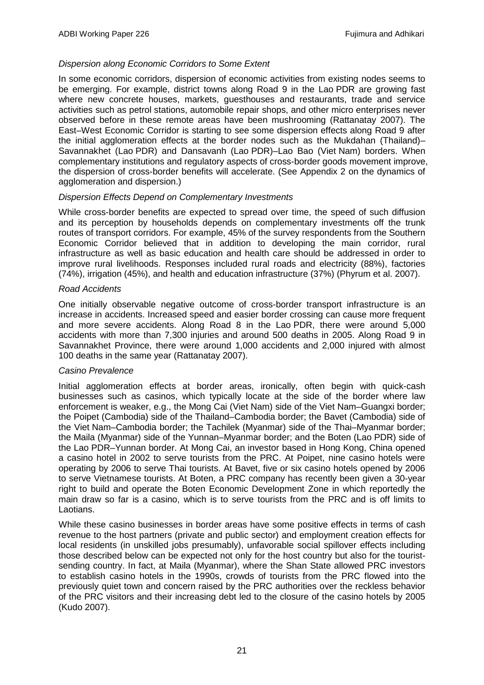#### *Dispersion along Economic Corridors to Some Extent*

In some economic corridors, dispersion of economic activities from existing nodes seems to be emerging. For example, district towns along Road 9 in the Lao PDR are growing fast where new concrete houses, markets, guesthouses and restaurants, trade and service activities such as petrol stations, automobile repair shops, and other micro enterprises never observed before in these remote areas have been mushrooming (Rattanatay 2007). The East–West Economic Corridor is starting to see some dispersion effects along Road 9 after the initial agglomeration effects at the border nodes such as the Mukdahan (Thailand)– Savannakhet (Lao PDR) and Dansavanh (Lao PDR)–Lao Bao (Viet Nam) borders. When complementary institutions and regulatory aspects of cross-border goods movement improve, the dispersion of cross-border benefits will accelerate. (See Appendix 2 on the dynamics of agglomeration and dispersion.)

#### *Dispersion Effects Depend on Complementary Investments*

While cross-border benefits are expected to spread over time, the speed of such diffusion and its perception by households depends on complementary investments off the trunk routes of transport corridors. For example, 45% of the survey respondents from the Southern Economic Corridor believed that in addition to developing the main corridor, rural infrastructure as well as basic education and health care should be addressed in order to improve rural livelihoods. Responses included rural roads and electricity (88%), factories (74%), irrigation (45%), and health and education infrastructure (37%) (Phyrum et al. 2007).

#### *Road Accidents*

One initially observable negative outcome of cross-border transport infrastructure is an increase in accidents. Increased speed and easier border crossing can cause more frequent and more severe accidents. Along Road 8 in the Lao PDR, there were around 5,000 accidents with more than 7,300 injuries and around 500 deaths in 2005. Along Road 9 in Savannakhet Province, there were around 1,000 accidents and 2,000 injured with almost 100 deaths in the same year (Rattanatay 2007).

#### *Casino Prevalence*

Initial agglomeration effects at border areas, ironically, often begin with quick-cash businesses such as casinos, which typically locate at the side of the border where law enforcement is weaker, e.g., the Mong Cai (Viet Nam) side of the Viet Nam–Guangxi border; the Poipet (Cambodia) side of the Thailand–Cambodia border; the Bavet (Cambodia) side of the Viet Nam–Cambodia border; the Tachilek (Myanmar) side of the Thai–Myanmar border; the Maila (Myanmar) side of the Yunnan–Myanmar border; and the Boten (Lao PDR) side of the Lao PDR–Yunnan border. At Mong Cai, an investor based in Hong Kong, China opened a casino hotel in 2002 to serve tourists from the PRC. At Poipet, nine casino hotels were operating by 2006 to serve Thai tourists. At Bavet, five or six casino hotels opened by 2006 to serve Vietnamese tourists. At Boten, a PRC company has recently been given a 30-year right to build and operate the Boten Economic Development Zone in which reportedly the main draw so far is a casino, which is to serve tourists from the PRC and is off limits to Laotians.

While these casino businesses in border areas have some positive effects in terms of cash revenue to the host partners (private and public sector) and employment creation effects for local residents (in unskilled jobs presumably), unfavorable social spillover effects including those described below can be expected not only for the host country but also for the touristsending country. In fact, at Maila (Myanmar), where the Shan State allowed PRC investors to establish casino hotels in the 1990s, crowds of tourists from the PRC flowed into the previously quiet town and concern raised by the PRC authorities over the reckless behavior of the PRC visitors and their increasing debt led to the closure of the casino hotels by 2005 (Kudo 2007).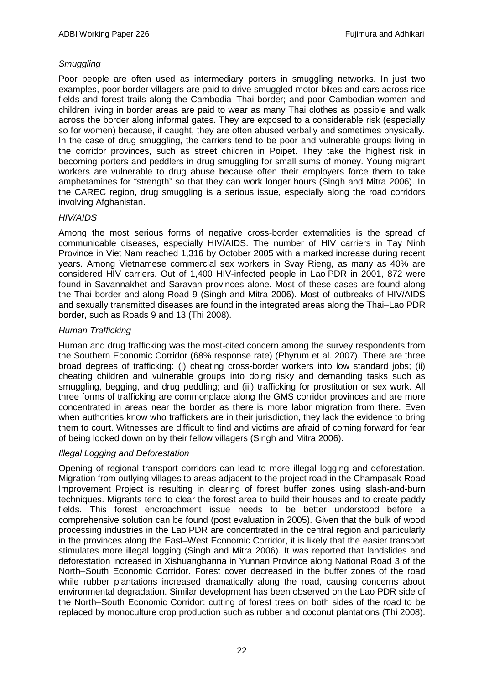## *Smuggling*

Poor people are often used as intermediary porters in smuggling networks. In just two examples, poor border villagers are paid to drive smuggled motor bikes and cars across rice fields and forest trails along the Cambodia–Thai border; and poor Cambodian women and children living in border areas are paid to wear as many Thai clothes as possible and walk across the border along informal gates. They are exposed to a considerable risk (especially so for women) because, if caught, they are often abused verbally and sometimes physically. In the case of drug smuggling, the carriers tend to be poor and vulnerable groups living in the corridor provinces, such as street children in Poipet. They take the highest risk in becoming porters and peddlers in drug smuggling for small sums of money. Young migrant workers are vulnerable to drug abuse because often their employers force them to take amphetamines for "strength" so that they can work longer hours (Singh and Mitra 2006). In the CAREC region, drug smuggling is a serious issue, especially along the road corridors involving Afghanistan.

## *HIV/AIDS*

Among the most serious forms of negative cross-border externalities is the spread of communicable diseases, especially HIV/AIDS. The number of HIV carriers in Tay Ninh Province in Viet Nam reached 1,316 by October 2005 with a marked increase during recent years. Among Vietnamese commercial sex workers in Svay Rieng, as many as 40% are considered HIV carriers. Out of 1,400 HIV-infected people in Lao PDR in 2001, 872 were found in Savannakhet and Saravan provinces alone. Most of these cases are found along the Thai border and along Road 9 (Singh and Mitra 2006). Most of outbreaks of HIV/AIDS and sexually transmitted diseases are found in the integrated areas along the Thai–Lao PDR border, such as Roads 9 and 13 (Thi 2008).

## *Human Trafficking*

Human and drug trafficking was the most-cited concern among the survey respondents from the Southern Economic Corridor (68% response rate) (Phyrum et al. 2007). There are three broad degrees of trafficking: (i) cheating cross-border workers into low standard jobs; (ii) cheating children and vulnerable groups into doing risky and demanding tasks such as smuggling, begging, and drug peddling; and (iii) trafficking for prostitution or sex work. All three forms of trafficking are commonplace along the GMS corridor provinces and are more concentrated in areas near the border as there is more labor migration from there. Even when authorities know who traffickers are in their jurisdiction, they lack the evidence to bring them to court. Witnesses are difficult to find and victims are afraid of coming forward for fear of being looked down on by their fellow villagers (Singh and Mitra 2006).

#### *Illegal Logging and Deforestation*

Opening of regional transport corridors can lead to more illegal logging and deforestation. Migration from outlying villages to areas adjacent to the project road in the Champasak Road Improvement Project is resulting in clearing of forest buffer zones using slash-and-burn techniques. Migrants tend to clear the forest area to build their houses and to create paddy fields. This forest encroachment issue needs to be better understood before a comprehensive solution can be found (post evaluation in 2005). Given that the bulk of wood processing industries in the Lao PDR are concentrated in the central region and particularly in the provinces along the East–West Economic Corridor, it is likely that the easier transport stimulates more illegal logging (Singh and Mitra 2006). It was reported that landslides and deforestation increased in Xishuangbanna in Yunnan Province along National Road 3 of the North–South Economic Corridor. Forest cover decreased in the buffer zones of the road while rubber plantations increased dramatically along the road, causing concerns about environmental degradation. Similar development has been observed on the Lao PDR side of the North–South Economic Corridor: cutting of forest trees on both sides of the road to be replaced by monoculture crop production such as rubber and coconut plantations (Thi 2008).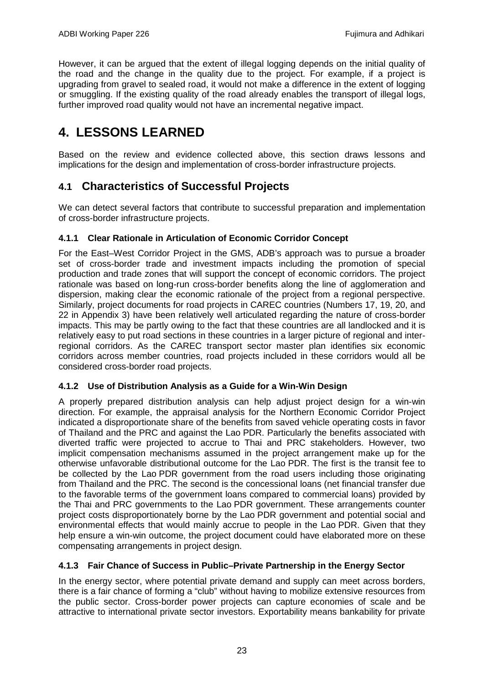However, it can be argued that the extent of illegal logging depends on the initial quality of the road and the change in the quality due to the project. For example, if a project is upgrading from gravel to sealed road, it would not make a difference in the extent of logging or smuggling. If the existing quality of the road already enables the transport of illegal logs, further improved road quality would not have an incremental negative impact.

# <span id="page-24-0"></span>**4. LESSONS LEARNED**

Based on the review and evidence collected above, this section draws lessons and implications for the design and implementation of cross-border infrastructure projects.

## <span id="page-24-1"></span>**4.1 Characteristics of Successful Projects**

We can detect several factors that contribute to successful preparation and implementation of cross-border infrastructure projects.

## **4.1.1 Clear Rationale in Articulation of Economic Corridor Concept**

For the East–West Corridor Project in the GMS, ADB's approach was to pursue a broader set of cross-border trade and investment impacts including the promotion of special production and trade zones that will support the concept of economic corridors. The project rationale was based on long-run cross-border benefits along the line of agglomeration and dispersion, making clear the economic rationale of the project from a regional perspective. Similarly, project documents for road projects in CAREC countries (Numbers 17, 19, 20, and 22 in Appendix 3) have been relatively well articulated regarding the nature of cross-border impacts. This may be partly owing to the fact that these countries are all landlocked and it is relatively easy to put road sections in these countries in a larger picture of regional and interregional corridors. As the CAREC transport sector master plan identifies six economic corridors across member countries, road projects included in these corridors would all be considered cross-border road projects.

#### **4.1.2 Use of Distribution Analysis as a Guide for a Win-Win Design**

A properly prepared distribution analysis can help adjust project design for a win-win direction. For example, the appraisal analysis for the Northern Economic Corridor Project indicated a disproportionate share of the benefits from saved vehicle operating costs in favor of Thailand and the PRC and against the Lao PDR. Particularly the benefits associated with diverted traffic were projected to accrue to Thai and PRC stakeholders. However, two implicit compensation mechanisms assumed in the project arrangement make up for the otherwise unfavorable distributional outcome for the Lao PDR. The first is the transit fee to be collected by the Lao PDR government from the road users including those originating from Thailand and the PRC. The second is the concessional loans (net financial transfer due to the favorable terms of the government loans compared to commercial loans) provided by the Thai and PRC governments to the Lao PDR government. These arrangements counter project costs disproportionately borne by the Lao PDR government and potential social and environmental effects that would mainly accrue to people in the Lao PDR. Given that they help ensure a win-win outcome, the project document could have elaborated more on these compensating arrangements in project design.

## **4.1.3 Fair Chance of Success in Public–Private Partnership in the Energy Sector**

In the energy sector, where potential private demand and supply can meet across borders, there is a fair chance of forming a "club" without having to mobilize extensive resources from the public sector. Cross-border power projects can capture economies of scale and be attractive to international private sector investors. Exportability means bankability for private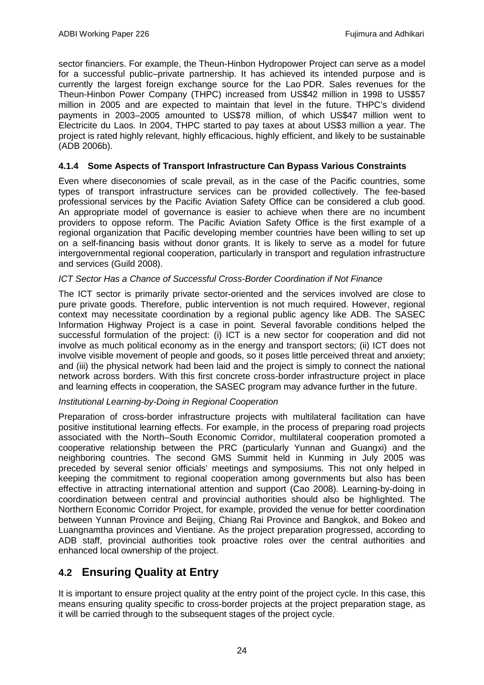sector financiers. For example, the Theun-Hinbon Hydropower Project can serve as a model for a successful public–private partnership. It has achieved its intended purpose and is currently the largest foreign exchange source for the Lao PDR. Sales revenues for the Theun-Hinbon Power Company (THPC) increased from US\$42 million in 1998 to US\$57 million in 2005 and are expected to maintain that level in the future. THPC's dividend payments in 2003–2005 amounted to US\$78 million, of which US\$47 million went to Electricite du Laos. In 2004, THPC started to pay taxes at about US\$3 million a year. The project is rated highly relevant, highly efficacious, highly efficient, and likely to be sustainable (ADB 2006b).

## **4.1.4 Some Aspects of Transport Infrastructure Can Bypass Various Constraints**

Even where diseconomies of scale prevail, as in the case of the Pacific countries, some types of transport infrastructure services can be provided collectively. The fee-based professional services by the Pacific Aviation Safety Office can be considered a club good. An appropriate model of governance is easier to achieve when there are no incumbent providers to oppose reform. The Pacific Aviation Safety Office is the first example of a regional organization that Pacific developing member countries have been willing to set up on a self-financing basis without donor grants. It is likely to serve as a model for future intergovernmental regional cooperation, particularly in transport and regulation infrastructure and services (Guild 2008).

## *ICT Sector Has a Chance of Successful Cross-Border Coordination if Not Finance*

The ICT sector is primarily private sector-oriented and the services involved are close to pure private goods. Therefore, public intervention is not much required. However, regional context may necessitate coordination by a regional public agency like ADB. The SASEC Information Highway Project is a case in point. Several favorable conditions helped the successful formulation of the project: (i) ICT is a new sector for cooperation and did not involve as much political economy as in the energy and transport sectors; (ii) ICT does not involve visible movement of people and goods, so it poses little perceived threat and anxiety; and (iii) the physical network had been laid and the project is simply to connect the national network across borders. With this first concrete cross-border infrastructure project in place and learning effects in cooperation, the SASEC program may advance further in the future.

#### *Institutional Learning-by-Doing in Regional Cooperation*

Preparation of cross-border infrastructure projects with multilateral facilitation can have positive institutional learning effects. For example, in the process of preparing road projects associated with the North–South Economic Corridor, multilateral cooperation promoted a cooperative relationship between the PRC (particularly Yunnan and Guangxi) and the neighboring countries. The second GMS Summit held in Kunming in July 2005 was preceded by several senior officials' meetings and symposiums. This not only helped in keeping the commitment to regional cooperation among governments but also has been effective in attracting international attention and support (Cao 2008). Learning-by-doing in coordination between central and provincial authorities should also be highlighted. The Northern Economic Corridor Project, for example, provided the venue for better coordination between Yunnan Province and Beijing, Chiang Rai Province and Bangkok, and Bokeo and Luangnamtha provinces and Vientiane. As the project preparation progressed, according to ADB staff, provincial authorities took proactive roles over the central authorities and enhanced local ownership of the project.

## <span id="page-25-0"></span>**4.2 Ensuring Quality at Entry**

It is important to ensure project quality at the entry point of the project cycle. In this case, this means ensuring quality specific to cross-border projects at the project preparation stage, as it will be carried through to the subsequent stages of the project cycle.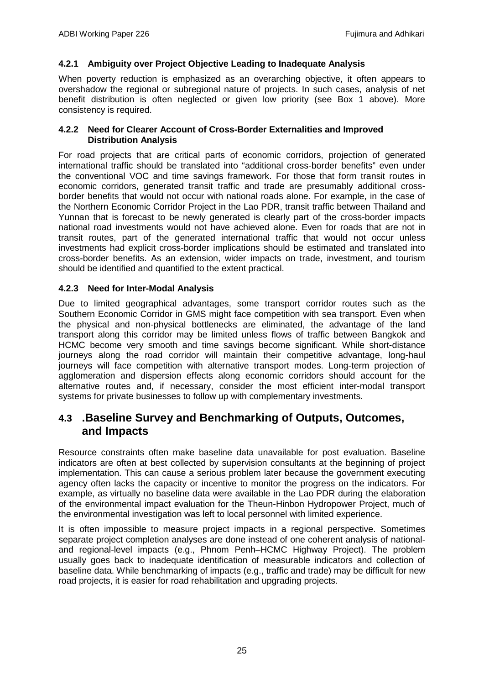### **4.2.1 Ambiguity over Project Objective Leading to Inadequate Analysis**

When poverty reduction is emphasized as an overarching objective, it often appears to overshadow the regional or subregional nature of projects. In such cases, analysis of net benefit distribution is often neglected or given low priority (see Box 1 above). More consistency is required.

#### **4.2.2 Need for Clearer Account of Cross-Border Externalities and Improved Distribution Analysis**

For road projects that are critical parts of economic corridors, projection of generated international traffic should be translated into "additional cross-border benefits" even under the conventional VOC and time savings framework. For those that form transit routes in economic corridors, generated transit traffic and trade are presumably additional crossborder benefits that would not occur with national roads alone. For example, in the case of the Northern Economic Corridor Project in the Lao PDR, transit traffic between Thailand and Yunnan that is forecast to be newly generated is clearly part of the cross-border impacts national road investments would not have achieved alone. Even for roads that are not in transit routes, part of the generated international traffic that would not occur unless investments had explicit cross-border implications should be estimated and translated into cross-border benefits. As an extension, wider impacts on trade, investment, and tourism should be identified and quantified to the extent practical.

## **4.2.3 Need for Inter-Modal Analysis**

Due to limited geographical advantages, some transport corridor routes such as the Southern Economic Corridor in GMS might face competition with sea transport. Even when the physical and non-physical bottlenecks are eliminated, the advantage of the land transport along this corridor may be limited unless flows of traffic between Bangkok and HCMC become very smooth and time savings become significant. While short-distance journeys along the road corridor will maintain their competitive advantage, long-haul journeys will face competition with alternative transport modes. Long-term projection of agglomeration and dispersion effects along economic corridors should account for the alternative routes and, if necessary, consider the most efficient inter-modal transport systems for private businesses to follow up with complementary investments.

## <span id="page-26-0"></span>**4.3 .Baseline Survey and Benchmarking of Outputs, Outcomes, and Impacts**

Resource constraints often make baseline data unavailable for post evaluation. Baseline indicators are often at best collected by supervision consultants at the beginning of project implementation. This can cause a serious problem later because the government executing agency often lacks the capacity or incentive to monitor the progress on the indicators. For example, as virtually no baseline data were available in the Lao PDR during the elaboration of the environmental impact evaluation for the Theun-Hinbon Hydropower Project, much of the environmental investigation was left to local personnel with limited experience.

It is often impossible to measure project impacts in a regional perspective. Sometimes separate project completion analyses are done instead of one coherent analysis of nationaland regional-level impacts (e.g., Phnom Penh–HCMC Highway Project). The problem usually goes back to inadequate identification of measurable indicators and collection of baseline data. While benchmarking of impacts (e.g., traffic and trade) may be difficult for new road projects, it is easier for road rehabilitation and upgrading projects.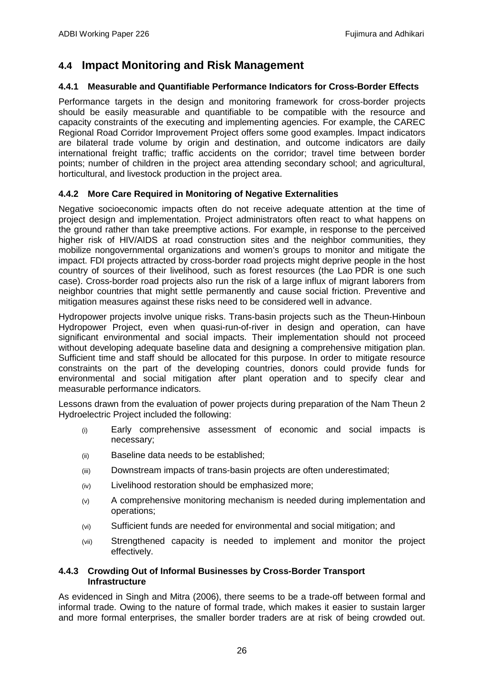## <span id="page-27-0"></span>**4.4 Impact Monitoring and Risk Management**

### **4.4.1 Measurable and Quantifiable Performance Indicators for Cross-Border Effects**

Performance targets in the design and monitoring framework for cross-border projects should be easily measurable and quantifiable to be compatible with the resource and capacity constraints of the executing and implementing agencies. For example, the CAREC Regional Road Corridor Improvement Project offers some good examples. Impact indicators are bilateral trade volume by origin and destination, and outcome indicators are daily international freight traffic; traffic accidents on the corridor; travel time between border points; number of children in the project area attending secondary school; and agricultural, horticultural, and livestock production in the project area.

## **4.4.2 More Care Required in Monitoring of Negative Externalities**

Negative socioeconomic impacts often do not receive adequate attention at the time of project design and implementation. Project administrators often react to what happens on the ground rather than take preemptive actions. For example, in response to the perceived higher risk of HIV/AIDS at road construction sites and the neighbor communities, they mobilize nongovernmental organizations and women's groups to monitor and mitigate the impact. FDI projects attracted by cross-border road projects might deprive people in the host country of sources of their livelihood, such as forest resources (the Lao PDR is one such case). Cross-border road projects also run the risk of a large influx of migrant laborers from neighbor countries that might settle permanently and cause social friction. Preventive and mitigation measures against these risks need to be considered well in advance.

Hydropower projects involve unique risks. Trans-basin projects such as the Theun-Hinboun Hydropower Project, even when quasi-run-of-river in design and operation, can have significant environmental and social impacts. Their implementation should not proceed without developing adequate baseline data and designing a comprehensive mitigation plan. Sufficient time and staff should be allocated for this purpose. In order to mitigate resource constraints on the part of the developing countries, donors could provide funds for environmental and social mitigation after plant operation and to specify clear and measurable performance indicators.

Lessons drawn from the evaluation of power projects during preparation of the Nam Theun 2 Hydroelectric Project included the following:

- (i) Early comprehensive assessment of economic and social impacts is necessary;
- (ii) Baseline data needs to be established;
- (iii) Downstream impacts of trans-basin projects are often underestimated;
- (iv) Livelihood restoration should be emphasized more;
- (v) A comprehensive monitoring mechanism is needed during implementation and operations;
- (vi) Sufficient funds are needed for environmental and social mitigation; and
- (vii) Strengthened capacity is needed to implement and monitor the project effectively.

#### **4.4.3 Crowding Out of Informal Businesses by Cross-Border Transport Infrastructure**

As evidenced in Singh and Mitra (2006), there seems to be a trade-off between formal and informal trade. Owing to the nature of formal trade, which makes it easier to sustain larger and more formal enterprises, the smaller border traders are at risk of being crowded out.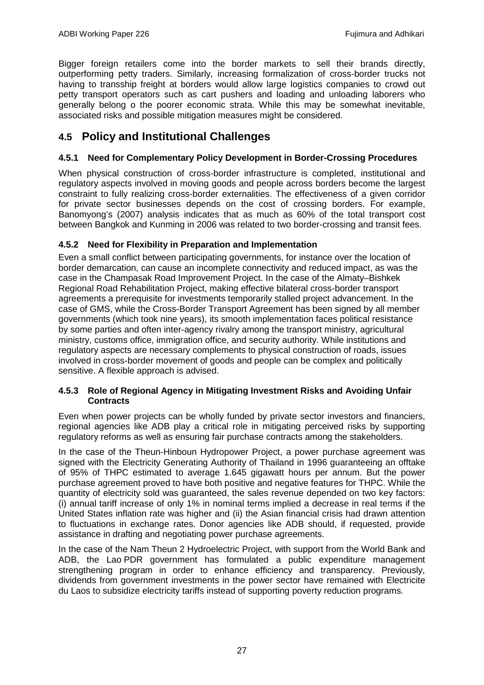Bigger foreign retailers come into the border markets to sell their brands directly, outperforming petty traders. Similarly, increasing formalization of cross-border trucks not having to transship freight at borders would allow large logistics companies to crowd out petty transport operators such as cart pushers and loading and unloading laborers who generally belong o the poorer economic strata. While this may be somewhat inevitable, associated risks and possible mitigation measures might be considered.

# <span id="page-28-0"></span>**4.5 Policy and Institutional Challenges**

## **4.5.1 Need for Complementary Policy Development in Border-Crossing Procedures**

When physical construction of cross-border infrastructure is completed, institutional and regulatory aspects involved in moving goods and people across borders become the largest constraint to fully realizing cross-border externalities. The effectiveness of a given corridor for private sector businesses depends on the cost of crossing borders. For example, Banomyong's (2007) analysis indicates that as much as 60% of the total transport cost between Bangkok and Kunming in 2006 was related to two border-crossing and transit fees.

## **4.5.2 Need for Flexibility in Preparation and Implementation**

Even a small conflict between participating governments, for instance over the location of border demarcation, can cause an incomplete connectivity and reduced impact, as was the case in the Champasak Road Improvement Project. In the case of the Almaty–Bishkek Regional Road Rehabilitation Project, making effective bilateral cross-border transport agreements a prerequisite for investments temporarily stalled project advancement. In the case of GMS, while the Cross-Border Transport Agreement has been signed by all member governments (which took nine years), its smooth implementation faces political resistance by some parties and often inter-agency rivalry among the transport ministry, agricultural ministry, customs office, immigration office, and security authority. While institutions and regulatory aspects are necessary complements to physical construction of roads, issues involved in cross-border movement of goods and people can be complex and politically sensitive. A flexible approach is advised.

#### **4.5.3 Role of Regional Agency in Mitigating Investment Risks and Avoiding Unfair Contracts**

Even when power projects can be wholly funded by private sector investors and financiers, regional agencies like ADB play a critical role in mitigating perceived risks by supporting regulatory reforms as well as ensuring fair purchase contracts among the stakeholders.

In the case of the Theun-Hinboun Hydropower Project, a power purchase agreement was signed with the Electricity Generating Authority of Thailand in 1996 guaranteeing an offtake of 95% of THPC estimated to average 1.645 gigawatt hours per annum. But the power purchase agreement proved to have both positive and negative features for THPC. While the quantity of electricity sold was guaranteed, the sales revenue depended on two key factors: (i) annual tariff increase of only 1% in nominal terms implied a decrease in real terms if the United States inflation rate was higher and (ii) the Asian financial crisis had drawn attention to fluctuations in exchange rates. Donor agencies like ADB should, if requested, provide assistance in drafting and negotiating power purchase agreements.

In the case of the Nam Theun 2 Hydroelectric Project, with support from the World Bank and ADB, the Lao PDR government has formulated a public expenditure management strengthening program in order to enhance efficiency and transparency. Previously, dividends from government investments in the power sector have remained with Electricite du Laos to subsidize electricity tariffs instead of supporting poverty reduction programs.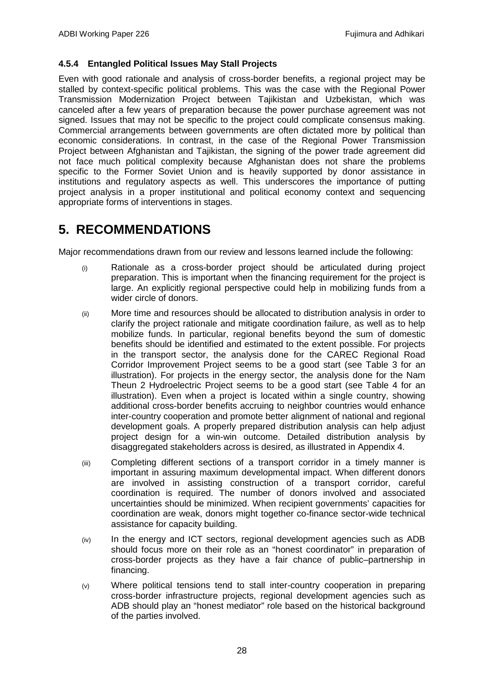### **4.5.4 Entangled Political Issues May Stall Projects**

Even with good rationale and analysis of cross-border benefits, a regional project may be stalled by context-specific political problems. This was the case with the Regional Power Transmission Modernization Project between Tajikistan and Uzbekistan, which was canceled after a few years of preparation because the power purchase agreement was not signed. Issues that may not be specific to the project could complicate consensus making. Commercial arrangements between governments are often dictated more by political than economic considerations. In contrast, in the case of the Regional Power Transmission Project between Afghanistan and Tajikistan, the signing of the power trade agreement did not face much political complexity because Afghanistan does not share the problems specific to the Former Soviet Union and is heavily supported by donor assistance in institutions and regulatory aspects as well. This underscores the importance of putting project analysis in a proper institutional and political economy context and sequencing appropriate forms of interventions in stages.

# <span id="page-29-0"></span>**5. RECOMMENDATIONS**

Major recommendations drawn from our review and lessons learned include the following:

- (i) Rationale as a cross-border project should be articulated during project preparation. This is important when the financing requirement for the project is large. An explicitly regional perspective could help in mobilizing funds from a wider circle of donors.
- (ii) More time and resources should be allocated to distribution analysis in order to clarify the project rationale and mitigate coordination failure, as well as to help mobilize funds. In particular, regional benefits beyond the sum of domestic benefits should be identified and estimated to the extent possible. For projects in the transport sector, the analysis done for the CAREC Regional Road Corridor Improvement Project seems to be a good start (see Table 3 for an illustration). For projects in the energy sector, the analysis done for the Nam Theun 2 Hydroelectric Project seems to be a good start (see Table 4 for an illustration). Even when a project is located within a single country, showing additional cross-border benefits accruing to neighbor countries would enhance inter-country cooperation and promote better alignment of national and regional development goals. A properly prepared distribution analysis can help adjust project design for a win-win outcome. Detailed distribution analysis by disaggregated stakeholders across is desired, as illustrated in Appendix 4.
- (iii) Completing different sections of a transport corridor in a timely manner is important in assuring maximum developmental impact. When different donors are involved in assisting construction of a transport corridor, careful coordination is required. The number of donors involved and associated uncertainties should be minimized. When recipient governments' capacities for coordination are weak, donors might together co-finance sector-wide technical assistance for capacity building.
- (iv) In the energy and ICT sectors, regional development agencies such as ADB should focus more on their role as an "honest coordinator" in preparation of cross-border projects as they have a fair chance of public–partnership in financing.
- (v) Where political tensions tend to stall inter-country cooperation in preparing cross-border infrastructure projects, regional development agencies such as ADB should play an "honest mediator" role based on the historical background of the parties involved.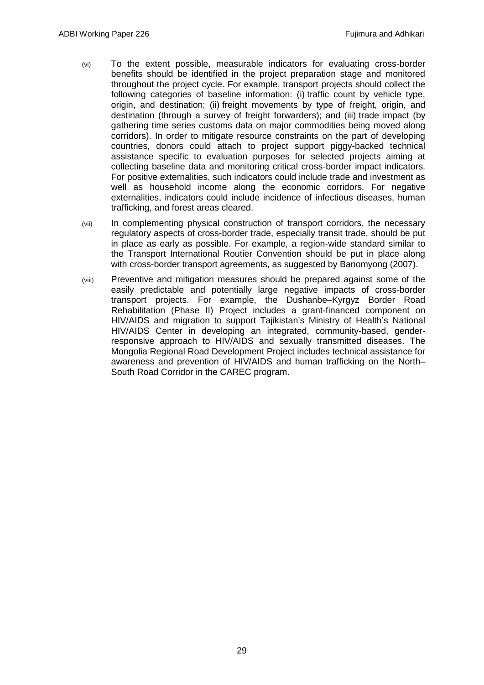- (vi) To the extent possible, measurable indicators for evaluating cross-border benefits should be identified in the project preparation stage and monitored throughout the project cycle. For example, transport projects should collect the following categories of baseline information: (i) traffic count by vehicle type, origin, and destination; (ii) freight movements by type of freight, origin, and destination (through a survey of freight forwarders); and (iii) trade impact (by gathering time series customs data on major commodities being moved along corridors). In order to mitigate resource constraints on the part of developing countries, donors could attach to project support piggy-backed technical assistance specific to evaluation purposes for selected projects aiming at collecting baseline data and monitoring critical cross-border impact indicators. For positive externalities, such indicators could include trade and investment as well as household income along the economic corridors. For negative externalities, indicators could include incidence of infectious diseases, human trafficking, and forest areas cleared.
- (vii) In complementing physical construction of transport corridors, the necessary regulatory aspects of cross-border trade, especially transit trade, should be put in place as early as possible. For example, a region-wide standard similar to the Transport International Routier Convention should be put in place along with cross-border transport agreements, as suggested by Banomyong (2007).
- (viii) Preventive and mitigation measures should be prepared against some of the easily predictable and potentially large negative impacts of cross-border transport projects. For example, the Dushanbe–Kyrgyz Border Road Rehabilitation (Phase II) Project includes a grant-financed component on HIV/AIDS and migration to support Tajikistan's Ministry of Health's National HIV/AIDS Center in developing an integrated, community-based, genderresponsive approach to HIV/AIDS and sexually transmitted diseases. The Mongolia Regional Road Development Project includes technical assistance for awareness and prevention of HIV/AIDS and human trafficking on the North– South Road Corridor in the CAREC program.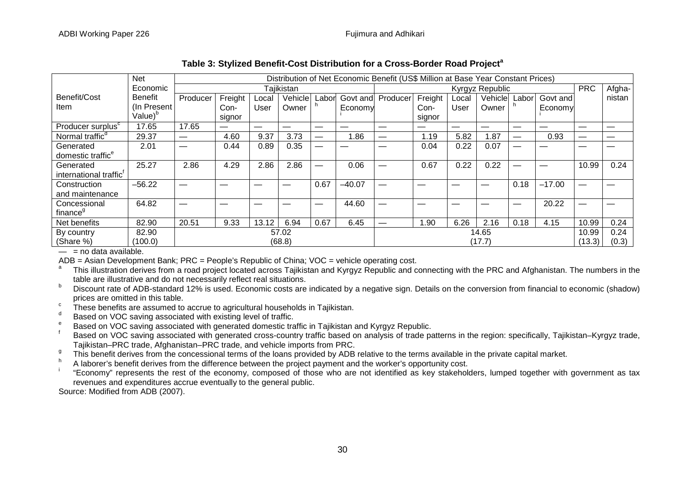|                                    | <b>Net</b>          |          | Distribution of Net Economic Benefit (US\$ Million at Base Year Constant Prices) |       |            |                               |          |                 |         |       |         |       |            |        |        |
|------------------------------------|---------------------|----------|----------------------------------------------------------------------------------|-------|------------|-------------------------------|----------|-----------------|---------|-------|---------|-------|------------|--------|--------|
|                                    | Economic            |          |                                                                                  |       | Tajikistan |                               |          | Kyrgyz Republic |         |       |         |       | <b>PRC</b> | Afgha- |        |
| Benefit/Cost                       | <b>Benefit</b>      | Producer | Freight                                                                          | Local | Vehicle    | Labor                         | Govt and | Producer        | Freight | Local | Vehicle | Labor | Govt and   |        | nistan |
| Item                               | (In Present)        |          | Con-                                                                             | User  | Owner      |                               | Economy  |                 | Con-    | User  | Owner   |       | Economy    |        |        |
|                                    | Value) <sup>b</sup> |          | signor                                                                           |       |            |                               |          |                 | signor  |       |         |       |            |        |        |
| Producer surplus <sup>c</sup>      | 17.65               | 17.65    |                                                                                  |       |            |                               |          | –               |         |       |         |       |            |        |        |
| Normal traffic <sup>d</sup>        | 29.37               |          | 4.60                                                                             | 9.37  | 3.73       | $\overbrace{\phantom{13333}}$ | 1.86     |                 | 1.19    | 5.82  | 1.87    |       | 0.93       |        |        |
| Generated                          | 2.01                |          | 0.44                                                                             | 0.89  | 0.35       |                               |          |                 | 0.04    | 0.22  | 0.07    |       |            |        |        |
| domestic traffic <sup>e</sup>      |                     |          |                                                                                  |       |            |                               |          |                 |         |       |         |       |            |        |        |
| Generated                          | 25.27               | 2.86     | 4.29                                                                             | 2.86  | 2.86       |                               | 0.06     |                 | 0.67    | 0.22  | 0.22    |       |            | 10.99  | 0.24   |
| international traffic <sup>T</sup> |                     |          |                                                                                  |       |            |                               |          |                 |         |       |         |       |            |        |        |
| Construction                       | $-56.22$            |          |                                                                                  |       |            | 0.67                          | $-40.07$ |                 |         |       |         | 0.18  | $-17.00$   |        |        |
| and maintenance                    |                     |          |                                                                                  |       |            |                               |          |                 |         |       |         |       |            |        |        |
| Concessional                       | 64.82               |          |                                                                                  |       |            |                               | 44.60    |                 |         |       |         |       | 20.22      |        |        |
| finance <sup>9</sup>               |                     |          |                                                                                  |       |            |                               |          |                 |         |       |         |       |            |        |        |
| Net benefits                       | 82.90               | 20.51    | 9.33                                                                             | 13.12 | 6.94       | 0.67                          | 6.45     |                 | .90     | 6.26  | 2.16    | 0.18  | 4.15       | 10.99  | 0.24   |
| 57.02<br>82.90<br>By country       |                     |          | 14.65                                                                            |       |            |                               | 10.99    | 0.24            |         |       |         |       |            |        |        |
| (Share %)<br>(68.8)<br>(100.0)     |                     |          | (17.7)                                                                           |       |            |                               | (13.3)   | (0.3)           |         |       |         |       |            |        |        |

### **Table 3: Stylized Benefit-Cost Distribution for a Cross-Border Road Project<sup>a</sup>**

 $-$  = no data available.<br>ADB = Asian Development Bank; PRC = People's Republic of China; VOC = vehicle operating cost.

This illustration derives from a road project located across Tajikistan and Kyrgyz Republic and connecting with the PRC and Afghanistan. The numbers in the table are illustrative and do not necessarily reflect real situati

<sup>b</sup> Discount rate of ADB-standard 12% is used. Economic costs are indicated by a negative sign. Details on the conversion from financial to economic (shadow)

Frices are omitted in this table.<br>
These benefits are assumed to accrue to agricultural households in Tajikistan.<br>
Based on VOC saving associated with generated domestic traffic in Tajikistan and Kyrgyz Republic.<br>
Fased on Tajikistan–PRC trade, Afghanistan–PRC trade, and vehicle imports from PRC.

This benefit derives from the concessional terms of the loans provided by ADB relative to the terms available in the private capital market.<br>A laborer's benefit derives from the difference between the project payment and

revenues and expenditures accrue eventually to the general public.

Source: Modified from ADB (2007).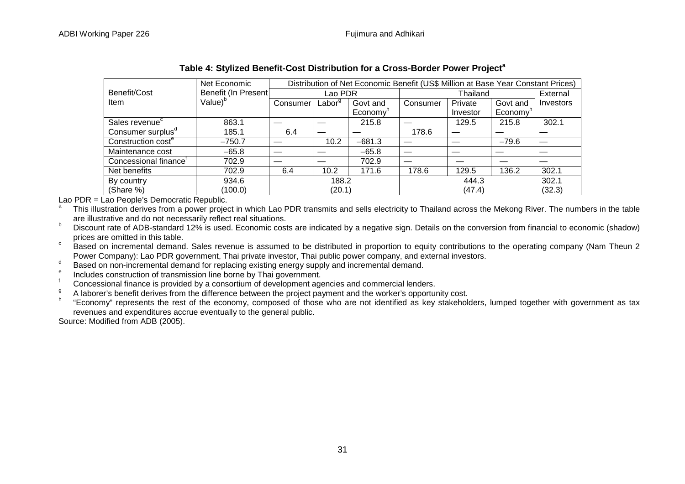|                                   | Net Economic        | Distribution of Net Economic Benefit (US\$ Million at Base Year Constant Prices) |                    |                      |          |          |                      |                  |  |
|-----------------------------------|---------------------|----------------------------------------------------------------------------------|--------------------|----------------------|----------|----------|----------------------|------------------|--|
| Benefit/Cost                      | Benefit (In Present | Lao PDR                                                                          |                    |                      |          | External |                      |                  |  |
| <b>Item</b>                       | Value) <sup>b</sup> | Consumer                                                                         | Labor <sup>g</sup> | Govt and             | Consumer | Private  | Govt and             | <b>Investors</b> |  |
|                                   |                     |                                                                                  |                    | Economy <sup>'</sup> |          | Investor | Economy <sup>'</sup> |                  |  |
| Sales revenue <sup>c</sup>        | 863.1               |                                                                                  |                    | 215.8                |          | 129.5    | 215.8                | 302.1            |  |
| Consumer surplus <sup>a</sup>     | 185.1               | 6.4                                                                              |                    |                      | 178.6    |          |                      |                  |  |
| Construction cost <sup>e</sup>    | $-750.7$            |                                                                                  | 10.2               | $-681.3$             |          |          | $-79.6$              |                  |  |
| Maintenance cost                  | $-65.8$             |                                                                                  |                    | $-65.8$              |          |          |                      |                  |  |
| Concessional finance <sup>t</sup> | 702.9               |                                                                                  |                    | 702.9                |          |          |                      |                  |  |
| Net benefits                      | 702.9               | 6.4                                                                              | 10.2               | 171.6                | 178.6    | 129.5    | 136.2                | 302.1            |  |
| 934.6<br>By country               |                     | 188.2                                                                            |                    |                      |          | 302.1    |                      |                  |  |
| (Share %)                         | (100.0)             |                                                                                  | (20.1)             |                      |          | (32.3)   |                      |                  |  |

| Table 4: Stylized Benefit-Cost Distribution for a Cross-Border Power Project <sup>a</sup> |  |  |
|-------------------------------------------------------------------------------------------|--|--|
|-------------------------------------------------------------------------------------------|--|--|

Lao PDR = Lao People's Democratic Republic.

This illustration derives from a power project in which Lao PDR transmits and sells electricity to Thailand across the Mekong River. The numbers in the table are illustrative and do not necessarily reflect real situations.

 $P$  Discount rate of ADB-standard 12% is used. Economic costs are indicated by a negative sign. Details on the conversion from financial to economic (shadow) prices are omitted in this table.

<sup>c</sup> Based on incremental demand. Sales revenue is assumed to be distributed in proportion to equity contributions to the operating company (Nam Theun 2<br>Power Company): Lao PDR government, Thai private investor, Thai public

Based on non-incremental demand for replacing existing energy supply and incremental demand.<br>Includes construction of transmission line borne by Thai government.

 $\frac{1}{9}$  Concessional finance is provided by a consortium of development agencies and commercial lenders.<br><sup>9</sup> A laborer's benefit derives from the difference between the project payment and the worker's opportunity cost.

<sup>h</sup> "Economy" represents the rest of the economy, composed of those who are not identified as key stakeholders, lumped together with government as tax revenues and expenditures accrue eventually to the general public.

Source: Modified from ADB (2005).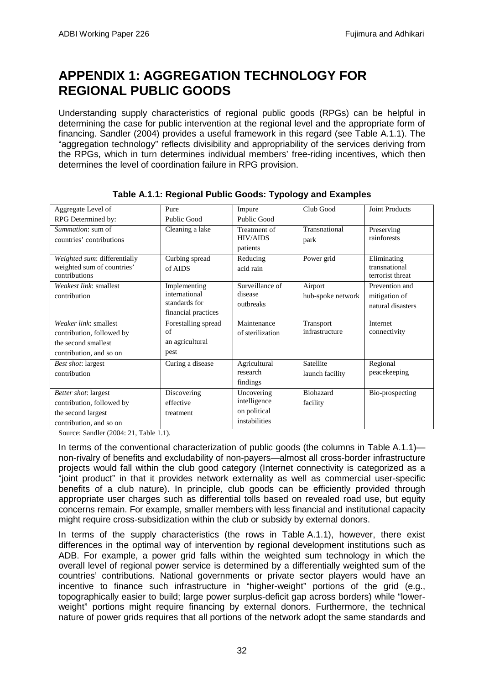# <span id="page-33-0"></span>**APPENDIX 1: AGGREGATION TECHNOLOGY FOR REGIONAL PUBLIC GOODS**

Understanding supply characteristics of regional public goods (RPGs) can be helpful in determining the case for public intervention at the regional level and the appropriate form of financing. Sandler (2004) provides a useful framework in this regard (see Table A.1.1). The "aggregation technology" reflects divisibility and appropriability of the services deriving from the RPGs, which in turn determines individual members' free-riding incentives, which then determines the level of coordination failure in RPG provision.

| Aggregate Level of                                                                                   | Pure                                                                  | Impure                                                      | Club Good                    | Joint Products                                       |  |
|------------------------------------------------------------------------------------------------------|-----------------------------------------------------------------------|-------------------------------------------------------------|------------------------------|------------------------------------------------------|--|
| RPG Determined by:                                                                                   | <b>Public Good</b>                                                    | Public Good                                                 |                              |                                                      |  |
| <i>Summation:</i> sum of<br>countries' contributions                                                 | Cleaning a lake                                                       | Treatment of<br><b>HIV/AIDS</b><br>patients                 | Transnational<br>park        | Preserving<br>rainforests                            |  |
| Weighted sum: differentially<br>weighted sum of countries'<br>contributions                          | Curbing spread<br>of AIDS                                             | Reducing<br>acid rain                                       | Power grid                   | Eliminating<br>transnational<br>terrorist threat     |  |
| Weakest link: smallest<br>contribution                                                               | Implementing<br>international<br>standards for<br>financial practices | Surveillance of<br>disease<br>outbreaks                     | Airport<br>hub-spoke network | Prevention and<br>mitigation of<br>natural disasters |  |
| Weaker link: smallest<br>contribution, followed by<br>the second smallest<br>contribution, and so on | Forestalling spread<br>of<br>an agricultural<br>pest                  | Maintenance<br>of sterilization                             | Transport<br>infrastructure  | Internet<br>connectivity                             |  |
| Best shot: largest<br>contribution                                                                   | Curing a disease                                                      | Agricultural<br>research<br>findings                        | Satellite<br>launch facility | Regional<br>peacekeeping                             |  |
| Better shot: largest<br>contribution, followed by<br>the second largest<br>contribution, and so on   | Discovering<br>effective<br>treatment                                 | Uncovering<br>intelligence<br>on political<br>instabilities | <b>Biohazard</b><br>facility | Bio-prospecting                                      |  |

**Table A.1.1: Regional Public Goods: Typology and Examples**

Source: Sandler (2004: 21, Table 1.1).

In terms of the conventional characterization of public goods (the columns in Table A.1.1) non-rivalry of benefits and excludability of non-payers—almost all cross-border infrastructure projects would fall within the club good category (Internet connectivity is categorized as a "joint product" in that it provides network externality as well as commercial user-specific benefits of a club nature). In principle, club goods can be efficiently provided through appropriate user charges such as differential tolls based on revealed road use, but equity concerns remain. For example, smaller members with less financial and institutional capacity might require cross-subsidization within the club or subsidy by external donors.

In terms of the supply characteristics (the rows in Table A.1.1), however, there exist differences in the optimal way of intervention by regional development institutions such as ADB. For example, a power grid falls within the weighted sum technology in which the overall level of regional power service is determined by a differentially weighted sum of the countries' contributions. National governments or private sector players would have an incentive to finance such infrastructure in "higher-weight" portions of the grid (e.g., topographically easier to build; large power surplus-deficit gap across borders) while "lowerweight" portions might require financing by external donors. Furthermore, the technical nature of power grids requires that all portions of the network adopt the same standards and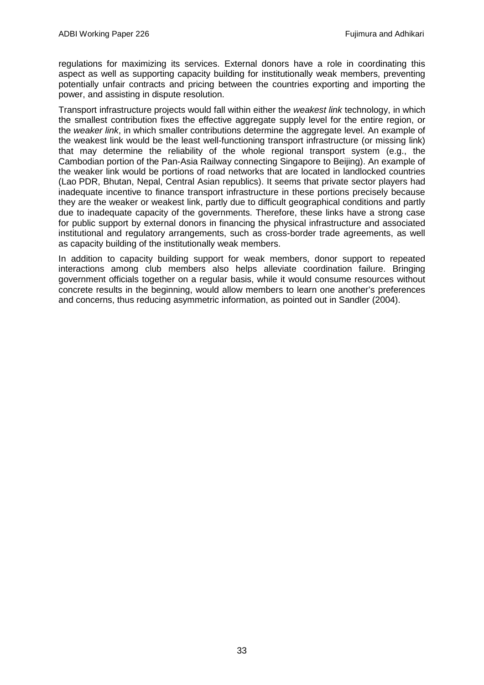regulations for maximizing its services. External donors have a role in coordinating this aspect as well as supporting capacity building for institutionally weak members, preventing potentially unfair contracts and pricing between the countries exporting and importing the power, and assisting in dispute resolution.

Transport infrastructure projects would fall within either the *weakest link* technology, in which the smallest contribution fixes the effective aggregate supply level for the entire region, or the *weaker link*, in which smaller contributions determine the aggregate level. An example of the weakest link would be the least well-functioning transport infrastructure (or missing link) that may determine the reliability of the whole regional transport system (e.g., the Cambodian portion of the Pan-Asia Railway connecting Singapore to Beijing). An example of the weaker link would be portions of road networks that are located in landlocked countries (Lao PDR, Bhutan, Nepal, Central Asian republics). It seems that private sector players had inadequate incentive to finance transport infrastructure in these portions precisely because they are the weaker or weakest link, partly due to difficult geographical conditions and partly due to inadequate capacity of the governments. Therefore, these links have a strong case for public support by external donors in financing the physical infrastructure and associated institutional and regulatory arrangements, such as cross-border trade agreements, as well as capacity building of the institutionally weak members.

In addition to capacity building support for weak members, donor support to repeated interactions among club members also helps alleviate coordination failure. Bringing government officials together on a regular basis, while it would consume resources without concrete results in the beginning, would allow members to learn one another's preferences and concerns, thus reducing asymmetric information, as pointed out in Sandler (2004).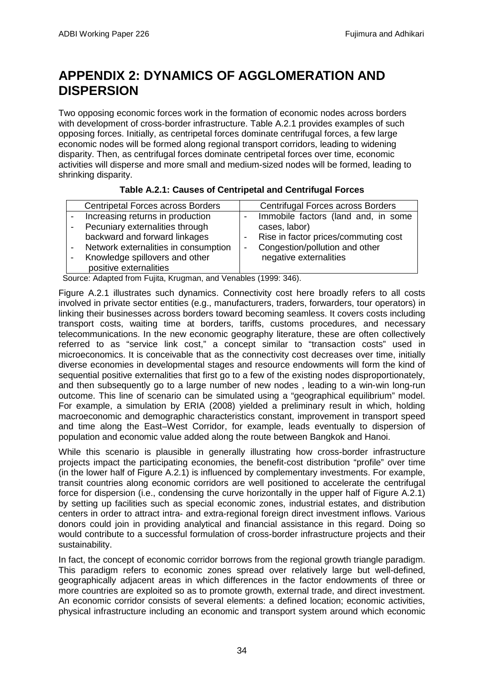# <span id="page-35-0"></span>**APPENDIX 2: DYNAMICS OF AGGLOMERATION AND DISPERSION**

Two opposing economic forces work in the formation of economic nodes across borders with development of cross-border infrastructure. Table A.2.1 provides examples of such opposing forces. Initially, as centripetal forces dominate centrifugal forces, a few large economic nodes will be formed along regional transport corridors, leading to widening disparity. Then, as centrifugal forces dominate centripetal forces over time, economic activities will disperse and more small and medium-sized nodes will be formed, leading to shrinking disparity.

| Table A.2.1: Causes of Centripetal and Centrifugal Forces |  |
|-----------------------------------------------------------|--|
|                                                           |  |

| <b>Centripetal Forces across Borders</b> | Centrifugal Forces across Borders    |
|------------------------------------------|--------------------------------------|
| Increasing returns in production         | Immobile factors (land and, in some  |
| Pecuniary externalities through          | cases, labor)                        |
| backward and forward linkages            | Rise in factor prices/commuting cost |
| Network externalities in consumption     | Congestion/pollution and other       |
| Knowledge spillovers and other           | negative externalities               |
| positive externalities                   |                                      |

Source: Adapted from Fujita, Krugman, and Venables (1999: 346).

Figure A.2.1 illustrates such dynamics. Connectivity cost here broadly refers to all costs involved in private sector entities (e.g., manufacturers, traders, forwarders, tour operators) in linking their businesses across borders toward becoming seamless. It covers costs including transport costs, waiting time at borders, tariffs, customs procedures, and necessary telecommunications. In the new economic geography literature, these are often collectively referred to as "service link cost," a concept similar to "transaction costs" used in microeconomics. It is conceivable that as the connectivity cost decreases over time, initially diverse economies in developmental stages and resource endowments will form the kind of sequential positive externalities that first go to a few of the existing nodes disproportionately, and then subsequently go to a large number of new nodes , leading to a win-win long-run outcome. This line of scenario can be simulated using a "geographical equilibrium" model. For example, a simulation by ERIA (2008) yielded a preliminary result in which, holding macroeconomic and demographic characteristics constant, improvement in transport speed and time along the East–West Corridor, for example, leads eventually to dispersion of population and economic value added along the route between Bangkok and Hanoi.

While this scenario is plausible in generally illustrating how cross-border infrastructure projects impact the participating economies, the benefit-cost distribution "profile" over time (in the lower half of Figure A.2.1) is influenced by complementary investments. For example, transit countries along economic corridors are well positioned to accelerate the centrifugal force for dispersion (i.e., condensing the curve horizontally in the upper half of Figure A.2.1) by setting up facilities such as special economic zones, industrial estates, and distribution centers in order to attract intra- and extra-regional foreign direct investment inflows. Various donors could join in providing analytical and financial assistance in this regard. Doing so would contribute to a successful formulation of cross-border infrastructure projects and their sustainability.

In fact, the concept of economic corridor borrows from the regional growth triangle paradigm. This paradigm refers to economic zones spread over relatively large but well-defined, geographically adjacent areas in which differences in the factor endowments of three or more countries are exploited so as to promote growth, external trade, and direct investment. An economic corridor consists of several elements: a defined location; economic activities, physical infrastructure including an economic and transport system around which economic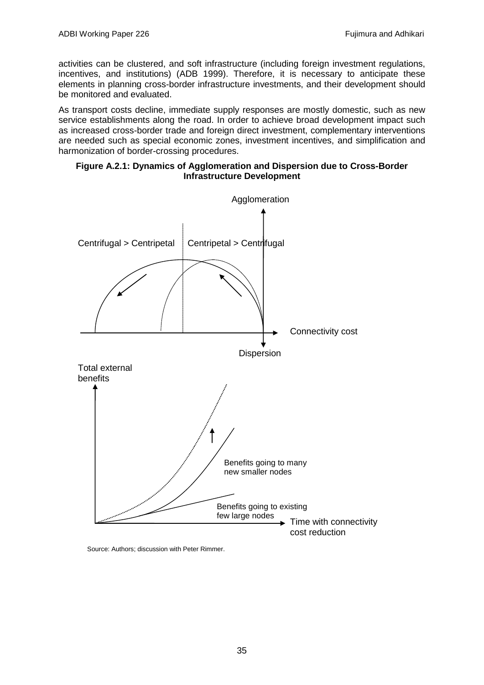activities can be clustered, and soft infrastructure (including foreign investment regulations, incentives, and institutions) (ADB 1999). Therefore, it is necessary to anticipate these elements in planning cross-border infrastructure investments, and their development should be monitored and evaluated.

As transport costs decline, immediate supply responses are mostly domestic, such as new service establishments along the road. In order to achieve broad development impact such as increased cross-border trade and foreign direct investment, complementary interventions are needed such as special economic zones, investment incentives, and simplification and harmonization of border-crossing procedures.

#### **Figure A.2.1: Dynamics of Agglomeration and Dispersion due to Cross-Border Infrastructure Development**



Source: Authors; discussion with Peter Rimmer.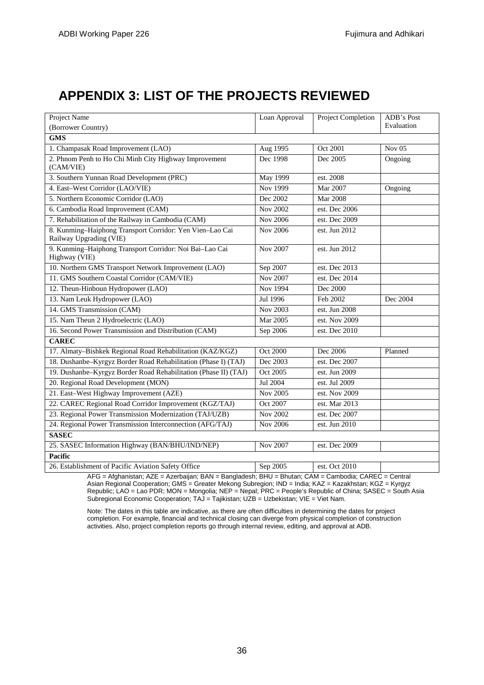# <span id="page-37-0"></span>**APPENDIX 3: LIST OF THE PROJECTS REVIEWED**

| <b>Project Name</b>                                                                 | Loan Approval   | <b>Project Completion</b> | ADB's Post        |
|-------------------------------------------------------------------------------------|-----------------|---------------------------|-------------------|
| (Borrower Country)                                                                  |                 |                           | Evaluation        |
| <b>GMS</b>                                                                          |                 |                           |                   |
| 1. Champasak Road Improvement (LAO)                                                 | Aug 1995        | Oct 2001                  | Nov <sub>05</sub> |
| 2. Phnom Penh to Ho Chi Minh City Highway Improvement<br>(CAM/VIE)                  | Dec 1998        | Dec 2005                  | Ongoing           |
| 3. Southern Yunnan Road Development (PRC)                                           | <b>May 1999</b> | est. 2008                 |                   |
| 4. East-West Corridor (LAO/VIE)                                                     | <b>Nov 1999</b> | Mar 2007                  | Ongoing           |
| 5. Northern Economic Corridor (LAO)                                                 | Dec 2002        | <b>Mar 2008</b>           |                   |
| 6. Cambodia Road Improvement (CAM)                                                  | <b>Nov 2002</b> | est. Dec 2006             |                   |
| 7. Rehabilitation of the Railway in Cambodia (CAM)                                  | Nov 2006        | est. Dec 2009             |                   |
| 8. Kunming-Haiphong Transport Corridor: Yen Vien-Lao Cai<br>Railway Upgrading (VIE) | Nov 2006        | est. Jun 2012             |                   |
| 9. Kunming-Haiphong Transport Corridor: Noi Bai-Lao Cai<br>Highway (VIE)            | Nov 2007        | est. Jun 2012             |                   |
| 10. Northern GMS Transport Network Improvement (LAO)                                | Sep 2007        | est. Dec 2013             |                   |
| 11. GMS Southern Coastal Corridor (CAM/VIE)                                         | Nov 2007        | est. Dec 2014             |                   |
| 12. Theun-Hinboun Hydropower (LAO)                                                  | Nov 1994        | Dec 2000                  |                   |
| 13. Nam Leuk Hydropower (LAO)                                                       | Jul 1996        | Feb 2002                  | Dec 2004          |
| 14. GMS Transmission (CAM)                                                          | Nov 2003        | est. Jun 2008             |                   |
| 15. Nam Theun 2 Hydroelectric (LAO)                                                 | Mar 2005        | est. Nov 2009             |                   |
| 16. Second Power Transmission and Distribution (CAM)                                | Sep 2006        | est. Dec 2010             |                   |
| <b>CAREC</b>                                                                        |                 |                           |                   |
| 17. Almaty-Bishkek Regional Road Rehabilitation (KAZ/KGZ)                           | <b>Oct 2000</b> | Dec 2006                  | Planned           |
| 18. Dushanbe-Kyrgyz Border Road Rehabilitation (Phase I) (TAJ)                      | Dec 2003        | est. Dec $2007$           |                   |
| 19. Dushanbe-Kyrgyz Border Road Rehabilitation (Phase II) (TAJ)                     | Oct 2005        | est. Jun 2009             |                   |
| 20. Regional Road Development (MON)                                                 | Jul 2004        | est. Jul 2009             |                   |
| 21. East-West Highway Improvement (AZE)                                             | <b>Nov 2005</b> | est. Nov 2009             |                   |
| 22. CAREC Regional Road Corridor Improvement (KGZ/TAJ)                              | Oct 2007        | est. Mar 2013             |                   |
| 23. Regional Power Transmission Modernization (TAJ/UZB)                             | Nov 2002        | est. Dec 2007             |                   |
| 24. Regional Power Transmission Interconnection (AFG/TAJ)                           | Nov 2006        | est. Jun 2010             |                   |
| <b>SASEC</b>                                                                        |                 |                           |                   |
| 25. SASEC Information Highway (BAN/BHU/IND/NEP)                                     | Nov 2007        | est. Dec 2009             |                   |
| <b>Pacific</b>                                                                      |                 |                           |                   |
| 26. Establishment of Pacific Aviation Safety Office                                 | Sep 2005        | est. Oct 2010             |                   |

AFG = Afghanistan; AZE = Azerbaijan; BAN = Bangladesh; BHU = Bhutan; CAM = Cambodia; CAREC = Central Asian Regional Cooperation; GMS = Greater Mekong Subregion; IND = India; KAZ = Kazakhstan; KGZ = Kyrgyz Republic; LAO = Lao PDR; MON = Mongolia; NEP = Nepal; PRC = People's Republic of China; SASEC = South Asia Subregional Economic Cooperation; TAJ = Tajikistan; UZB = Uzbekistan; VIE = Viet Nam.

Note: The dates in this table are indicative, as there are often difficulties in determining the dates for project completion. For example, financial and technical closing can diverge from physical completion of construction activities. Also, project completion reports go through internal review, editing, and approval at ADB.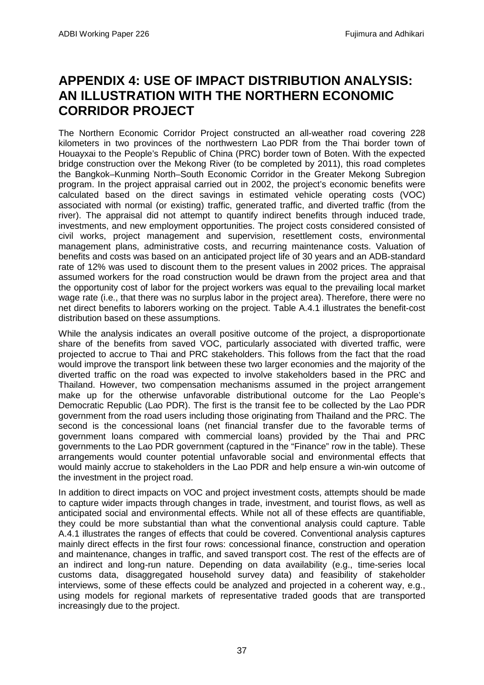# <span id="page-38-0"></span>**APPENDIX 4: USE OF IMPACT DISTRIBUTION ANALYSIS: AN ILLUSTRATION WITH THE NORTHERN ECONOMIC CORRIDOR PROJECT**

The Northern Economic Corridor Project constructed an all-weather road covering 228 kilometers in two provinces of the northwestern Lao PDR from the Thai border town of Houayxai to the People's Republic of China (PRC) border town of Boten. With the expected bridge construction over the Mekong River (to be completed by 2011), this road completes the Bangkok–Kunming North–South Economic Corridor in the Greater Mekong Subregion program. In the project appraisal carried out in 2002, the project's economic benefits were calculated based on the direct savings in estimated vehicle operating costs (VOC) associated with normal (or existing) traffic, generated traffic, and diverted traffic (from the river). The appraisal did not attempt to quantify indirect benefits through induced trade, investments, and new employment opportunities. The project costs considered consisted of civil works, project management and supervision, resettlement costs, environmental management plans, administrative costs, and recurring maintenance costs. Valuation of benefits and costs was based on an anticipated project life of 30 years and an ADB-standard rate of 12% was used to discount them to the present values in 2002 prices. The appraisal assumed workers for the road construction would be drawn from the project area and that the opportunity cost of labor for the project workers was equal to the prevailing local market wage rate (i.e., that there was no surplus labor in the project area). Therefore, there were no net direct benefits to laborers working on the project. Table A.4.1 illustrates the benefit-cost distribution based on these assumptions.

While the analysis indicates an overall positive outcome of the project, a disproportionate share of the benefits from saved VOC, particularly associated with diverted traffic, were projected to accrue to Thai and PRC stakeholders. This follows from the fact that the road would improve the transport link between these two larger economies and the majority of the diverted traffic on the road was expected to involve stakeholders based in the PRC and Thailand. However, two compensation mechanisms assumed in the project arrangement make up for the otherwise unfavorable distributional outcome for the Lao People's Democratic Republic (Lao PDR). The first is the transit fee to be collected by the Lao PDR government from the road users including those originating from Thailand and the PRC. The second is the concessional loans (net financial transfer due to the favorable terms of government loans compared with commercial loans) provided by the Thai and PRC governments to the Lao PDR government (captured in the "Finance" row in the table). These arrangements would counter potential unfavorable social and environmental effects that would mainly accrue to stakeholders in the Lao PDR and help ensure a win-win outcome of the investment in the project road.

In addition to direct impacts on VOC and project investment costs, attempts should be made to capture wider impacts through changes in trade, investment, and tourist flows, as well as anticipated social and environmental effects. While not all of these effects are quantifiable, they could be more substantial than what the conventional analysis could capture. Table A.4.1 illustrates the ranges of effects that could be covered. Conventional analysis captures mainly direct effects in the first four rows: concessional finance, construction and operation and maintenance, changes in traffic, and saved transport cost. The rest of the effects are of an indirect and long-run nature. Depending on data availability (e.g., time-series local customs data, disaggregated household survey data) and feasibility of stakeholder interviews, some of these effects could be analyzed and projected in a coherent way, e.g., using models for regional markets of representative traded goods that are transported increasingly due to the project.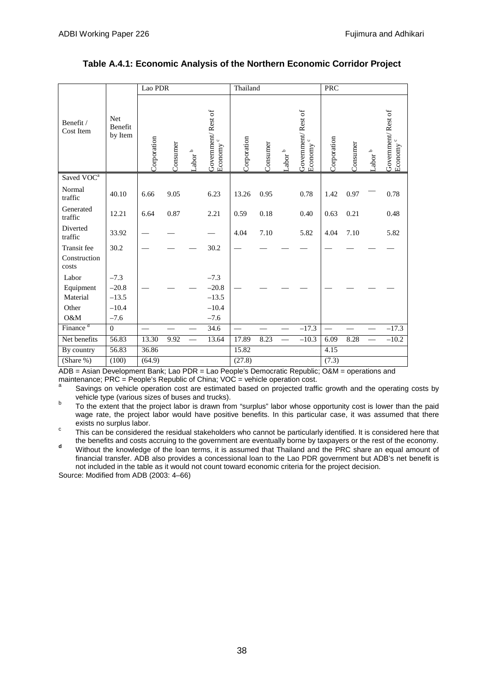|                        |                                  | Lao PDR     |          |               | Thailand                                   |             |          |                                 | PRC                                      |             |          |                       |                                            |
|------------------------|----------------------------------|-------------|----------|---------------|--------------------------------------------|-------------|----------|---------------------------------|------------------------------------------|-------------|----------|-----------------------|--------------------------------------------|
| Benefit /<br>Cost Item | <b>Net</b><br>Benefit<br>by Item | Corporation | Consumer | م<br>$-ab$ or | Government/Rest of<br>Economy <sup>c</sup> | Corporation | Consumer | ${\sf Labor}^{\:\! \mathtt{b}}$ | Government/Rest of<br>$\circ$<br>Economy | Corporation | Consumer | ${\sf Labor}^{\sf b}$ | Government/Rest of<br>Economy <sup>c</sup> |
| Saved VOC <sup>a</sup> |                                  |             |          |               |                                            |             |          |                                 |                                          |             |          |                       |                                            |
| Normal<br>traffic      | 40.10                            | 6.66        | 9.05     |               | 6.23                                       | 13.26       | 0.95     |                                 | 0.78                                     | 1.42        | 0.97     |                       | 0.78                                       |
| Generated<br>traffic   | 12.21                            | 6.64        | 0.87     |               | 2.21                                       | 0.59        | 0.18     |                                 | 0.40                                     | 0.63        | 0.21     |                       | 0.48                                       |
| Diverted<br>traffic    | 33.92                            |             |          |               |                                            | 4.04        | 7.10     |                                 | 5.82                                     | 4.04        | 7.10     |                       | 5.82                                       |
| <b>Transit</b> fee     | 30.2                             |             |          |               | 30.2                                       |             |          |                                 |                                          |             |          |                       |                                            |
| Construction<br>costs  |                                  |             |          |               |                                            |             |          |                                 |                                          |             |          |                       |                                            |
| Labor                  | $-7.3$                           |             |          |               | $-7.3$                                     |             |          |                                 |                                          |             |          |                       |                                            |
| Equipment              | $-20.8$                          |             |          |               | $-20.8$                                    |             |          |                                 |                                          |             |          |                       |                                            |
| Material               | $-13.5$                          |             |          |               | $-13.5$                                    |             |          |                                 |                                          |             |          |                       |                                            |
| Other                  | $-10.4$                          |             |          |               | $-10.4$                                    |             |          |                                 |                                          |             |          |                       |                                            |
| O&M                    | $-7.6$                           |             |          |               | $-7.6$                                     |             |          |                                 |                                          |             |          |                       |                                            |
| Finance <sup>d</sup>   | $\mathbf{0}$                     |             |          |               | 34.6                                       |             |          |                                 | $-17.3$                                  |             |          |                       | $-17.3$                                    |
| Net benefits           | 56.83                            | 13.30       | 9.92     |               | 13.64                                      | 17.89       | 8.23     |                                 | $-10.3$                                  | 6.09        | 8.28     |                       | $-10.2$                                    |
| By country             | 56.83                            | 36.86       |          |               |                                            | 15.82       |          |                                 |                                          | 4.15        |          |                       |                                            |
| (Share %)              | (100)                            | (64.9)      |          | $\sim$ $\sim$ |                                            | (27.8)      |          |                                 | $\cdots$                                 | (7.3)       |          |                       |                                            |

#### **Table A.4.1: Economic Analysis of the Northern Economic Corridor Project**

ADB = Asian Development Bank; Lao PDR = Lao People's Democratic Republic; O&M = operations and maintenance; PRC = People's Republic of China; VOC = vehicle operation cost.

- Savings on vehicle operation cost are estimated based on projected traffic growth and the operating costs by vehicle type (various sizes of buses and trucks).
- b To the extent that the project labor is drawn from "surplus" labor whose opportunity cost is lower than the paid wage rate, the project labor would have positive benefits. In this particular case, it was assumed that there exists no surplus labor.
- exists it can be considered the residual stakeholders who cannot be particularly identified. It is considered here that<br>the benefits and costs accruing to the government are eventually borne by taxpayers or the rest of the
- <sup>d</sup> Without the knowledge of the loan terms, it is assumed that Thailand and the PRC share an equal amount of financial transfer. ADB also provides a concessional loan to the Lao PDR government but ADB's net benefit is not included in the table as it would not count toward economic criteria for the project decision.

Source: Modified from ADB (2003: 4–66)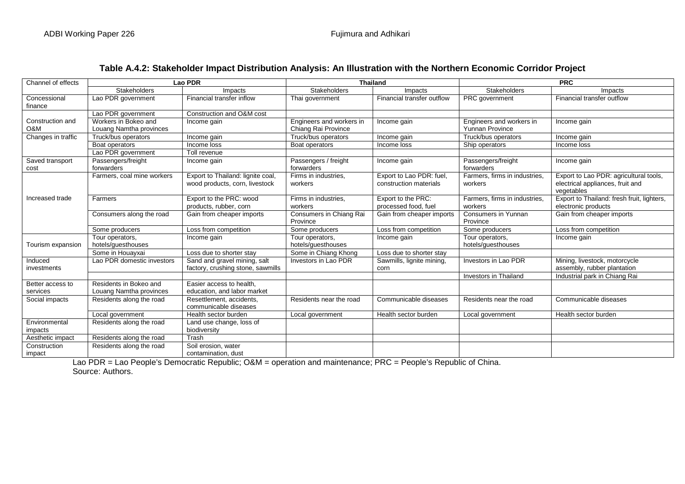| Channel of effects      |                                  | Lao PDR                                           |                                    | <b>Thailand</b>            |                                  | <b>PRC</b>                                 |
|-------------------------|----------------------------------|---------------------------------------------------|------------------------------------|----------------------------|----------------------------------|--------------------------------------------|
|                         | <b>Stakeholders</b>              | Impacts                                           | <b>Stakeholders</b>                | Impacts                    | <b>Stakeholders</b>              | Impacts                                    |
| Concessional            | Lao PDR government               | Financial transfer inflow                         | Thai government                    | Financial transfer outflow | <b>PRC</b> government            | Financial transfer outflow                 |
| finance                 |                                  |                                                   |                                    |                            |                                  |                                            |
|                         | Lao PDR government               | Construction and O&M cost                         |                                    |                            |                                  |                                            |
| Construction and        | Workers in Bokeo and             | Income gain                                       | Engineers and workers in           | Income gain                | Engineers and workers in         | Income gain                                |
| O&M                     | Louang Namtha provinces          |                                                   | Chiang Rai Province                |                            | <b>Yunnan Province</b>           |                                            |
| Changes in traffic      | Truck/bus operators              | Income gain                                       | Truck/bus operators                | Income gain                | Truck/bus operators              | Income gain                                |
|                         | Boat operators                   | Income loss                                       | Boat operators                     | Income loss                | Ship operators                   | Income loss                                |
|                         | Lao PDR government               | Toll revenue                                      |                                    |                            |                                  |                                            |
| Saved transport<br>cost | Passengers/freight<br>forwarders | Income gain                                       | Passengers / freight<br>forwarders | Income gain                | Passengers/freight<br>forwarders | Income gain                                |
|                         | Farmers, coal mine workers       | Export to Thailand: lignite coal,                 | Firms in industries,               | Export to Lao PDR: fuel,   | Farmers, firms in industries,    | Export to Lao PDR: agricultural tools,     |
|                         |                                  | wood products, corn, livestock                    | workers                            | construction materials     | workers                          | electrical appliances, fruit and           |
|                         |                                  |                                                   |                                    |                            |                                  | vegetables                                 |
| Increased trade         | Farmers                          | Export to the PRC: wood                           | Firms in industries.               | Export to the PRC:         | Farmers, firms in industries,    | Export to Thailand: fresh fruit, lighters, |
|                         |                                  | products, rubber, corn                            | workers                            | processed food, fuel       | workers                          | electronic products                        |
|                         | Consumers along the road         | Gain from cheaper imports                         | Consumers in Chiang Rai            | Gain from cheaper imports  | Consumers in Yunnan              | Gain from cheaper imports                  |
|                         |                                  |                                                   | Province                           |                            | Province                         |                                            |
|                         | Some producers                   | Loss from competition                             | Some producers                     | Loss from competition      | Some producers                   | Loss from competition                      |
|                         | Tour operators,                  | Income gain                                       | Tour operators,                    | Income gain                | Tour operators,                  | Income gain                                |
| Tourism expansion       | hotels/guesthouses               |                                                   | hotels/guesthouses                 |                            | hotels/guesthouses               |                                            |
|                         | Some in Houayxai                 | Loss due to shorter stay                          | Some in Chiang Khong               | Loss due to shorter stay   |                                  |                                            |
| Induced                 | Lao PDR domestic investors       | Sand and gravel mining, salt                      | Investors in Lao PDR               | Sawmills, lignite mining,  | Investors in Lao PDR             | Mining, livestock, motorcycle              |
| investments             |                                  | factory, crushing stone, sawmills                 |                                    | corn                       |                                  | assembly, rubber plantation                |
|                         |                                  |                                                   |                                    |                            | <b>Investors in Thailand</b>     | Industrial park in Chiang Rai              |
| Better access to        | Residents in Bokeo and           | Easier access to health.                          |                                    |                            |                                  |                                            |
| services                | Louang Namtha provinces          | education, and labor market                       |                                    |                            |                                  |                                            |
| Social impacts          | Residents along the road         | Resettlement, accidents,<br>communicable diseases | Residents near the road            | Communicable diseases      | Residents near the road          | Communicable diseases                      |
|                         | Local government                 | Health sector burden                              | Local government                   | Health sector burden       | Local government                 | Health sector burden                       |
| Environmental           | Residents along the road         | Land use change, loss of                          |                                    |                            |                                  |                                            |
| impacts                 |                                  | biodiversity                                      |                                    |                            |                                  |                                            |
| Aesthetic impact        | Residents along the road         | Trash                                             |                                    |                            |                                  |                                            |
| Construction            | Residents along the road         | Soil erosion, water                               |                                    |                            |                                  |                                            |
| impact                  |                                  | contamination, dust                               |                                    |                            |                                  |                                            |

### **Table A.4.2: Stakeholder Impact Distribution Analysis: An Illustration with the Northern Economic Corridor Project**

Lao PDR = Lao People's Democratic Republic; O&M = operation and maintenance; PRC = People's Republic of China. Source: Authors.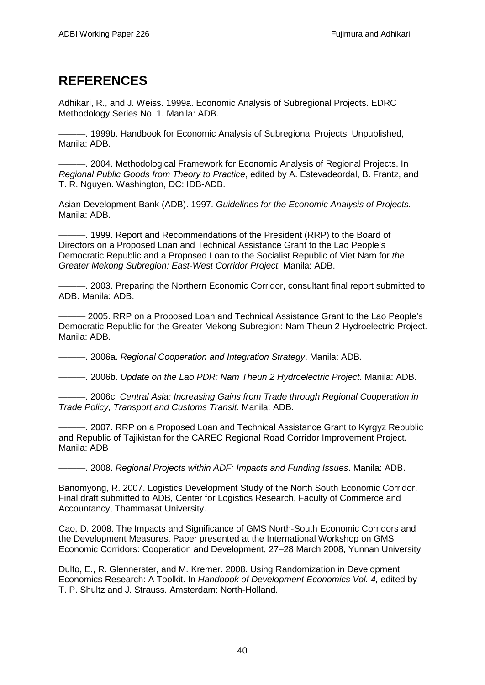# <span id="page-41-0"></span>**REFERENCES**

Adhikari, R., and J. Weiss. 1999a. Economic Analysis of Subregional Projects. EDRC Methodology Series No. 1. Manila: ADB.

———. 1999b. Handbook for Economic Analysis of Subregional Projects. Unpublished, Manila: ADB.

———. 2004. Methodological Framework for Economic Analysis of Regional Projects. In *Regional Public Goods from Theory to Practice*, edited by A. Estevadeordal, B. Frantz, and T. R. Nguyen. Washington, DC: IDB-ADB.

Asian Development Bank (ADB). 1997. *Guidelines for the Economic Analysis of Projects.* Manila: ADB.

———. 1999. Report and Recommendations of the President (RRP) to the Board of Directors on a Proposed Loan and Technical Assistance Grant to the Lao People's Democratic Republic and a Proposed Loan to the Socialist Republic of Viet Nam for *the Greater Mekong Subregion: East-West Corridor Project.* Manila: ADB.

 $-$ . 2003. Preparing the Northern Economic Corridor, consultant final report submitted to ADB. Manila: ADB.

- 2005. RRP on a Proposed Loan and Technical Assistance Grant to the Lao People's Democratic Republic for the Greater Mekong Subregion: Nam Theun 2 Hydroelectric Project*.*  Manila: ADB.

———. 2006a. *Regional Cooperation and Integration Strategy*. Manila: ADB.

———. 2006b. *Update on the Lao PDR: Nam Theun 2 Hydroelectric Project.* Manila: ADB.

———. 2006c. *Central Asia: Increasing Gains from Trade through Regional Cooperation in Trade Policy, Transport and Customs Transit.* Manila: ADB.

–. 2007. RRP on a Proposed Loan and Technical Assistance Grant to Kyrgyz Republic and Republic of Tajikistan for the CAREC Regional Road Corridor Improvement Project*.*  Manila: ADB

———. 2008. *Regional Projects within ADF: Impacts and Funding Issues*. Manila: ADB.

Banomyong, R. 2007. Logistics Development Study of the North South Economic Corridor. Final draft submitted to ADB, Center for Logistics Research, Faculty of Commerce and Accountancy, Thammasat University.

Cao, D. 2008. The Impacts and Significance of GMS North-South Economic Corridors and the Development Measures. Paper presented at the International Workshop on GMS Economic Corridors: Cooperation and Development, 27–28 March 2008, Yunnan University.

Dulfo, E., R. Glennerster, and M. Kremer. 2008. Using Randomization in Development Economics Research: A Toolkit. In *Handbook of Development Economics Vol. 4,* edited by T. P. Shultz and J. Strauss. Amsterdam: North-Holland.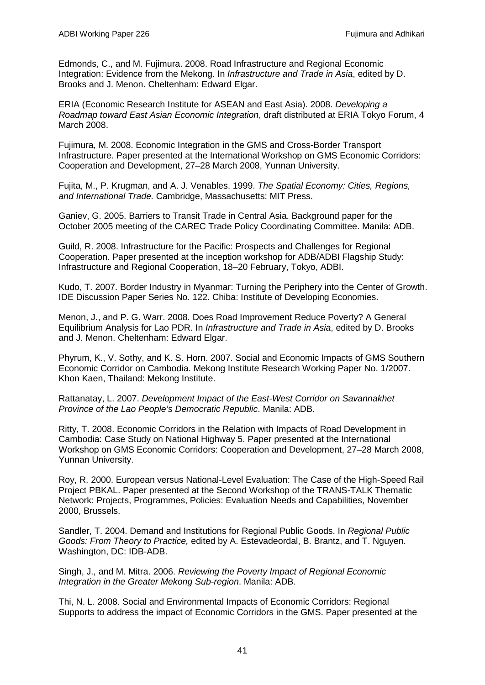Edmonds, C., and M. Fujimura. 2008. Road Infrastructure and Regional Economic Integration: Evidence from the Mekong. In *Infrastructure and Trade in Asia*, edited by D. Brooks and J. Menon. Cheltenham: Edward Elgar.

ERIA (Economic Research Institute for ASEAN and East Asia). 2008. *Developing a Roadmap toward East Asian Economic Integration*, draft distributed at ERIA Tokyo Forum, 4 March 2008.

Fujimura, M. 2008. Economic Integration in the GMS and Cross-Border Transport Infrastructure. Paper presented at the International Workshop on GMS Economic Corridors: Cooperation and Development, 27–28 March 2008, Yunnan University.

Fujita, M., P. Krugman, and A. J. Venables. 1999. *The Spatial Economy: Cities, Regions, and International Trade.* Cambridge, Massachusetts: MIT Press.

Ganiev, G. 2005. Barriers to Transit Trade in Central Asia. Background paper for the October 2005 meeting of the CAREC Trade Policy Coordinating Committee. Manila: ADB.

Guild, R. 2008. Infrastructure for the Pacific: Prospects and Challenges for Regional Cooperation. Paper presented at the inception workshop for ADB/ADBI Flagship Study: Infrastructure and Regional Cooperation, 18–20 February, Tokyo, ADBI.

Kudo, T. 2007. Border Industry in Myanmar: Turning the Periphery into the Center of Growth. IDE Discussion Paper Series No. 122. Chiba: Institute of Developing Economies.

Menon, J., and P. G. Warr. 2008. Does Road Improvement Reduce Poverty? A General Equilibrium Analysis for Lao PDR. In *Infrastructure and Trade in Asia*, edited by D. Brooks and J. Menon. Cheltenham: Edward Elgar.

Phyrum, K., V. Sothy, and K. S. Horn. 2007. Social and Economic Impacts of GMS Southern Economic Corridor on Cambodia. Mekong Institute Research Working Paper No. 1/2007. Khon Kaen, Thailand: Mekong Institute.

Rattanatay, L. 2007. *Development Impact of the East-West Corridor on Savannakhet Province of the Lao People's Democratic Republic*. Manila: ADB.

Ritty, T. 2008. Economic Corridors in the Relation with Impacts of Road Development in Cambodia: Case Study on National Highway 5. Paper presented at the International Workshop on GMS Economic Corridors: Cooperation and Development, 27–28 March 2008, Yunnan University.

Roy, R. 2000. European versus National-Level Evaluation: The Case of the High-Speed Rail Project PBKAL. Paper presented at the Second Workshop of the TRANS-TALK Thematic Network: Projects, Programmes, Policies: Evaluation Needs and Capabilities, November 2000, Brussels.

Sandler, T. 2004. Demand and Institutions for Regional Public Goods. In *Regional Public Goods: From Theory to Practice,* edited by A. Estevadeordal, B. Brantz, and T. Nguyen. Washington, DC: IDB-ADB.

Singh, J., and M. Mitra. 2006. *Reviewing the Poverty Impact of Regional Economic Integration in the Greater Mekong Sub-region*. Manila: ADB.

Thi, N. L. 2008. Social and Environmental Impacts of Economic Corridors: Regional Supports to address the impact of Economic Corridors in the GMS. Paper presented at the